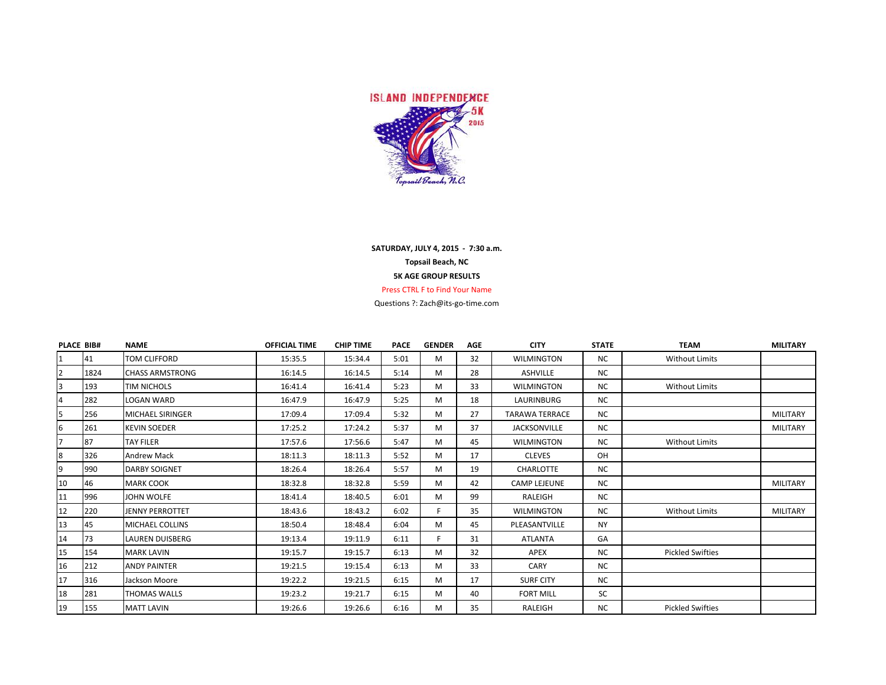

## **SATURDAY, JULY 4, 2015 - 7:30 a.m. Topsail Beach, NC 5K AGE GROUP RESULTS** Press CTRL F to Find Your Name

Questions ?: Zach@its-go-time.com

| <b>PLACE BIB#</b> |      | <b>NAME</b>             | <b>OFFICIAL TIME</b> | <b>CHIP TIME</b> | <b>PACE</b> | <b>GENDER</b> | <b>AGE</b> | <b>CITY</b>           | <b>STATE</b> | <b>TEAM</b>             | <b>MILITARY</b> |
|-------------------|------|-------------------------|----------------------|------------------|-------------|---------------|------------|-----------------------|--------------|-------------------------|-----------------|
| $\mathbf{1}$      | 41   | <b>TOM CLIFFORD</b>     | 15:35.5              | 15:34.4          | 5:01        | M             | 32         | <b>WILMINGTON</b>     | <b>NC</b>    | <b>Without Limits</b>   |                 |
| $\overline{2}$    | 1824 | <b>CHASS ARMSTRONG</b>  | 16:14.5              | 16:14.5          | 5:14        | M             | 28         | <b>ASHVILLE</b>       | <b>NC</b>    |                         |                 |
| 3                 | 193  | <b>TIM NICHOLS</b>      | 16:41.4              | 16:41.4          | 5:23        | M             | 33         | <b>WILMINGTON</b>     | <b>NC</b>    | <b>Without Limits</b>   |                 |
| $\overline{4}$    | 282  | <b>LOGAN WARD</b>       | 16:47.9              | 16:47.9          | 5:25        | M             | 18         | LAURINBURG            | <b>NC</b>    |                         |                 |
| 5                 | 256  | <b>MICHAEL SIRINGER</b> | 17:09.4              | 17:09.4          | 5:32        | M             | 27         | <b>TARAWA TERRACE</b> | <b>NC</b>    |                         | <b>MILITARY</b> |
| 6                 | 261  | <b>KEVIN SOEDER</b>     | 17:25.2              | 17:24.2          | 5:37        | M             | 37         | <b>JACKSONVILLE</b>   | <b>NC</b>    |                         | <b>MILITARY</b> |
| $\overline{7}$    | 87   | <b>TAY FILER</b>        | 17:57.6              | 17:56.6          | 5:47        | M             | 45         | <b>WILMINGTON</b>     | <b>NC</b>    | <b>Without Limits</b>   |                 |
| 8                 | 326  | <b>Andrew Mack</b>      | 18:11.3              | 18:11.3          | 5:52        | M             | 17         | <b>CLEVES</b>         | OH           |                         |                 |
| 9                 | 990  | <b>DARBY SOIGNET</b>    | 18:26.4              | 18:26.4          | 5:57        | M             | 19         | <b>CHARLOTTE</b>      | NC           |                         |                 |
| 10                | 46   | <b>MARK COOK</b>        | 18:32.8              | 18:32.8          | 5:59        | M             | 42         | <b>CAMP LEJEUNE</b>   | <b>NC</b>    |                         | <b>MILITARY</b> |
| 11                | 996  | JOHN WOLFE              | 18:41.4              | 18:40.5          | 6:01        | M             | 99         | RALEIGH               | <b>NC</b>    |                         |                 |
| 12                | 220  | <b>JENNY PERROTTET</b>  | 18:43.6              | 18:43.2          | 6:02        |               | 35         | WILMINGTON            | <b>NC</b>    | <b>Without Limits</b>   | <b>MILITARY</b> |
| 13                | 45   | <b>MICHAEL COLLINS</b>  | 18:50.4              | 18:48.4          | 6:04        | M             | 45         | PLEASANTVILLE         | NY.          |                         |                 |
| 14                | 73   | <b>LAUREN DUISBERG</b>  | 19:13.4              | 19:11.9          | 6:11        |               | 31         | <b>ATLANTA</b>        | GA           |                         |                 |
| 15                | 154  | <b>MARK LAVIN</b>       | 19:15.7              | 19:15.7          | 6:13        | M             | 32         | <b>APEX</b>           | NC.          | <b>Pickled Swifties</b> |                 |
| 16                | 212  | <b>ANDY PAINTER</b>     | 19:21.5              | 19:15.4          | 6:13        | M             | 33         | CARY                  | NC           |                         |                 |
| 17                | 316  | Jackson Moore           | 19:22.2              | 19:21.5          | 6:15        | M             | 17         | <b>SURF CITY</b>      | <b>NC</b>    |                         |                 |
| 18                | 281  | <b>THOMAS WALLS</b>     | 19:23.2              | 19:21.7          | 6:15        | M             | 40         | <b>FORT MILL</b>      | SC           |                         |                 |
| 19                | 155  | <b>MATT LAVIN</b>       | 19:26.6              | 19:26.6          | 6:16        | м             | 35         | RALEIGH               | <b>NC</b>    | <b>Pickled Swifties</b> |                 |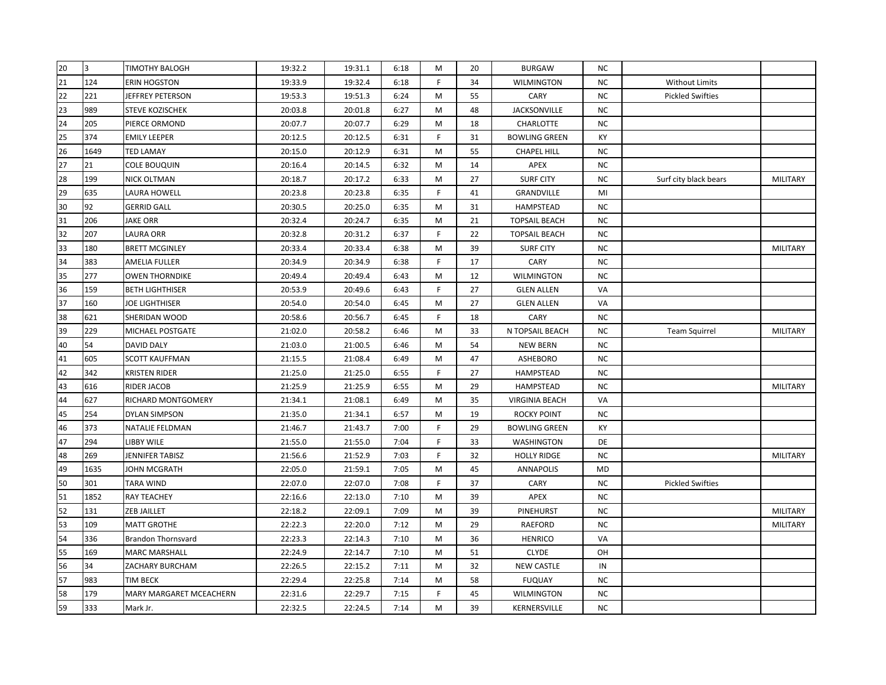| 20 | 3    | <b>TIMOTHY BALOGH</b>     | 19:32.2 | 19:31.1 | 6:18 | M            | 20 | <b>BURGAW</b>         | NC.       |                         |                 |
|----|------|---------------------------|---------|---------|------|--------------|----|-----------------------|-----------|-------------------------|-----------------|
| 21 | 124  | <b>ERIN HOGSTON</b>       | 19:33.9 | 19:32.4 | 6:18 | F            | 34 | <b>WILMINGTON</b>     | <b>NC</b> | <b>Without Limits</b>   |                 |
| 22 | 221  | JEFFREY PETERSON          | 19:53.3 | 19:51.3 | 6:24 | M            | 55 | CARY                  | NC        | <b>Pickled Swifties</b> |                 |
| 23 | 989  | STEVE KOZISCHEK           | 20:03.8 | 20:01.8 | 6:27 | M            | 48 | <b>JACKSONVILLE</b>   | NC        |                         |                 |
| 24 | 205  | PIERCE ORMOND             | 20:07.7 | 20:07.7 | 6:29 | M            | 18 | CHARLOTTE             | NC        |                         |                 |
| 25 | 374  | <b>EMILY LEEPER</b>       | 20:12.5 | 20:12.5 | 6:31 | $\mathsf{F}$ | 31 | <b>BOWLING GREEN</b>  | KY        |                         |                 |
| 26 | 1649 | <b>TED LAMAY</b>          | 20:15.0 | 20:12.9 | 6:31 | M            | 55 | <b>CHAPEL HILL</b>    | <b>NC</b> |                         |                 |
| 27 | 21   | <b>COLE BOUQUIN</b>       | 20:16.4 | 20:14.5 | 6:32 | M            | 14 | APEX                  | NC.       |                         |                 |
| 28 | 199  | NICK OLTMAN               | 20:18.7 | 20:17.2 | 6:33 | M            | 27 | <b>SURF CITY</b>      | NC.       | Surf city black bears   | <b>MILITARY</b> |
| 29 | 635  | LAURA HOWELL              | 20:23.8 | 20:23.8 | 6:35 | F            | 41 | GRANDVILLE            | MI        |                         |                 |
| 30 | 92   | <b>GERRID GALL</b>        | 20:30.5 | 20:25.0 | 6:35 | M            | 31 | HAMPSTEAD             | <b>NC</b> |                         |                 |
| 31 | 206  | <b>JAKE ORR</b>           | 20:32.4 | 20:24.7 | 6:35 | M            | 21 | <b>TOPSAIL BEACH</b>  | <b>NC</b> |                         |                 |
| 32 | 207  | <b>LAURA ORR</b>          | 20:32.8 | 20:31.2 | 6:37 | F            | 22 | <b>TOPSAIL BEACH</b>  | <b>NC</b> |                         |                 |
| 33 | 180  | <b>BRETT MCGINLEY</b>     | 20:33.4 | 20:33.4 | 6:38 | M            | 39 | <b>SURF CITY</b>      | NC        |                         | <b>MILITARY</b> |
| 34 | 383  | AMELIA FULLER             | 20:34.9 | 20:34.9 | 6:38 | F            | 17 | CARY                  | NC.       |                         |                 |
| 35 | 277  | <b>OWEN THORNDIKE</b>     | 20:49.4 | 20:49.4 | 6:43 | M            | 12 | <b>WILMINGTON</b>     | NC.       |                         |                 |
| 36 | 159  | <b>BETH LIGHTHISER</b>    | 20:53.9 | 20:49.6 | 6:43 | F            | 27 | <b>GLEN ALLEN</b>     | VA        |                         |                 |
| 37 | 160  | <b>JOE LIGHTHISER</b>     | 20:54.0 | 20:54.0 | 6:45 | M            | 27 | <b>GLEN ALLEN</b>     | VA        |                         |                 |
| 38 | 621  | SHERIDAN WOOD             | 20:58.6 | 20:56.7 | 6:45 | F            | 18 | CARY                  | NC        |                         |                 |
| 39 | 229  | MICHAEL POSTGATE          | 21:02.0 | 20:58.2 | 6:46 | M            | 33 | N TOPSAIL BEACH       | ΝC        | <b>Team Squirrel</b>    | MILITARY        |
| 40 | 54   | <b>DAVID DALY</b>         | 21:03.0 | 21:00.5 | 6:46 | M            | 54 | <b>NEW BERN</b>       | NC        |                         |                 |
| 41 | 605  | <b>SCOTT KAUFFMAN</b>     | 21:15.5 | 21:08.4 | 6:49 | M            | 47 | ASHEBORO              | NC        |                         |                 |
| 42 | 342  | <b>KRISTEN RIDER</b>      | 21:25.0 | 21:25.0 | 6:55 | F            | 27 | HAMPSTEAD             | NC        |                         |                 |
| 43 | 616  | <b>RIDER JACOB</b>        | 21:25.9 | 21:25.9 | 6:55 | М            | 29 | <b>HAMPSTEAD</b>      | NC.       |                         | <b>MILITARY</b> |
| 44 | 627  | RICHARD MONTGOMERY        | 21:34.1 | 21:08.1 | 6:49 | M            | 35 | <b>VIRGINIA BEACH</b> | VA        |                         |                 |
| 45 | 254  | <b>DYLAN SIMPSON</b>      | 21:35.0 | 21:34.1 | 6:57 | M            | 19 | <b>ROCKY POINT</b>    | NC        |                         |                 |
| 46 | 373  | NATALIE FELDMAN           | 21:46.7 | 21:43.7 | 7:00 | F            | 29 | <b>BOWLING GREEN</b>  | КY        |                         |                 |
| 47 | 294  | LIBBY WILE                | 21:55.0 | 21:55.0 | 7:04 | F            | 33 | <b>WASHINGTON</b>     | <b>DE</b> |                         |                 |
| 48 | 269  | JENNIFER TABISZ           | 21:56.6 | 21:52.9 | 7:03 | F.           | 32 | <b>HOLLY RIDGE</b>    | NC.       |                         | MILITARY        |
| 49 | 1635 | JOHN MCGRATH              | 22:05.0 | 21:59.1 | 7:05 | M            | 45 | ANNAPOLIS             | MD        |                         |                 |
| 50 | 301  | <b>TARA WIND</b>          | 22:07.0 | 22:07.0 | 7:08 | F            | 37 | CARY                  | NC.       | <b>Pickled Swifties</b> |                 |
| 51 | 1852 | <b>RAY TEACHEY</b>        | 22:16.6 | 22:13.0 | 7:10 | M            | 39 | APEX                  | NC        |                         |                 |
| 52 | 131  | <b>ZEB JAILLET</b>        | 22:18.2 | 22:09.1 | 7:09 | M            | 39 | PINEHURST             | NC        |                         | <b>MILITARY</b> |
| 53 | 109  | <b>MATT GROTHE</b>        | 22:22.3 | 22:20.0 | 7:12 | M            | 29 | <b>RAEFORD</b>        | NC        |                         | <b>MILITARY</b> |
| 54 | 336  | <b>Brandon Thornsvard</b> | 22:23.3 | 22:14.3 | 7:10 | M            | 36 | <b>HENRICO</b>        | VA        |                         |                 |
| 55 | 169  | <b>MARC MARSHALL</b>      | 22:24.9 | 22:14.7 | 7:10 | M            | 51 | <b>CLYDE</b>          | OH        |                         |                 |
| 56 | 34   | ZACHARY BURCHAM           | 22:26.5 | 22:15.2 | 7:11 | M            | 32 | <b>NEW CASTLE</b>     | IN        |                         |                 |
| 57 | 983  | <b>TIM BECK</b>           | 22:29.4 | 22:25.8 | 7:14 | M            | 58 | <b>FUQUAY</b>         | NC.       |                         |                 |
| 58 | 179  | MARY MARGARET MCEACHERN   | 22:31.6 | 22:29.7 | 7:15 | F            | 45 | <b>WILMINGTON</b>     | NC        |                         |                 |
| 59 | 333  | Mark Jr.                  | 22:32.5 | 22:24.5 | 7:14 | M            | 39 | KERNERSVILLE          | NC.       |                         |                 |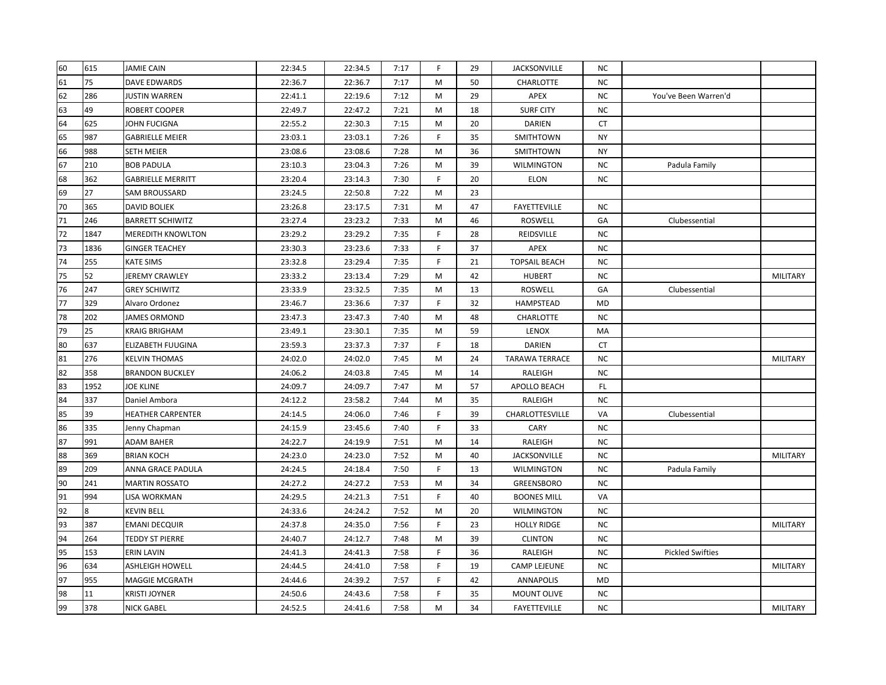| 60 | 615  | <b>JAMIE CAIN</b>        | 22:34.5 | 22:34.5 | 7:17 | F  | 29 | <b>JACKSONVILLE</b>   | NC.       |                         |                 |
|----|------|--------------------------|---------|---------|------|----|----|-----------------------|-----------|-------------------------|-----------------|
| 61 | 75   | DAVE EDWARDS             | 22:36.7 | 22:36.7 | 7:17 | M  | 50 | CHARLOTTE             | <b>NC</b> |                         |                 |
| 62 | 286  | <b>JUSTIN WARREN</b>     | 22:41.1 | 22:19.6 | 7:12 | M  | 29 | APEX                  | NC        | You've Been Warren'd    |                 |
| 63 | 49   | <b>ROBERT COOPER</b>     | 22:49.7 | 22:47.2 | 7:21 | M  | 18 | <b>SURF CITY</b>      | NC        |                         |                 |
| 64 | 625  | JOHN FUCIGNA             | 22:55.2 | 22:30.3 | 7:15 | M  | 20 | <b>DARIEN</b>         | CT        |                         |                 |
| 65 | 987  | <b>GABRIELLE MEIER</b>   | 23:03.1 | 23:03.1 | 7:26 | F  | 35 | SMITHTOWN             | <b>NY</b> |                         |                 |
| 66 | 988  | <b>SETH MEIER</b>        | 23:08.6 | 23:08.6 | 7:28 | M  | 36 | SMITHTOWN             | <b>NY</b> |                         |                 |
| 67 | 210  | <b>BOB PADULA</b>        | 23:10.3 | 23:04.3 | 7:26 | M  | 39 | <b>WILMINGTON</b>     | NC.       | Padula Family           |                 |
| 68 | 362  | <b>GABRIELLE MERRITT</b> | 23:20.4 | 23:14.3 | 7:30 | F  | 20 | <b>ELON</b>           | <b>NC</b> |                         |                 |
| 69 | 27   | <b>SAM BROUSSARD</b>     | 23:24.5 | 22:50.8 | 7:22 | M  | 23 |                       |           |                         |                 |
| 70 | 365  | <b>DAVID BOLIEK</b>      | 23:26.8 | 23:17.5 | 7:31 | M  | 47 | <b>FAYETTEVILLE</b>   | NC        |                         |                 |
| 71 | 246  | <b>BARRETT SCHIWITZ</b>  | 23:27.4 | 23:23.2 | 7:33 | M  | 46 | ROSWELL               | GA        | Clubessential           |                 |
| 72 | 1847 | <b>MEREDITH KNOWLTON</b> | 23:29.2 | 23:29.2 | 7:35 | F  | 28 | REIDSVILLE            | NC.       |                         |                 |
| 73 | 1836 | <b>GINGER TEACHEY</b>    | 23:30.3 | 23:23.6 | 7:33 | F. | 37 | APEX                  | NC.       |                         |                 |
| 74 | 255  | <b>KATE SIMS</b>         | 23:32.8 | 23:29.4 | 7:35 | F  | 21 | <b>TOPSAIL BEACH</b>  | NC        |                         |                 |
| 75 | 52   | JEREMY CRAWLEY           | 23:33.2 | 23:13.4 | 7:29 | M  | 42 | <b>HUBERT</b>         | NC.       |                         | <b>MILITARY</b> |
| 76 | 247  | <b>GREY SCHIWITZ</b>     | 23:33.9 | 23:32.5 | 7:35 | M  | 13 | <b>ROSWELL</b>        | GA        | Clubessential           |                 |
| 77 | 329  | Alvaro Ordonez           | 23:46.7 | 23:36.6 | 7:37 | F  | 32 | HAMPSTEAD             | MD        |                         |                 |
| 78 | 202  | <b>JAMES ORMOND</b>      | 23:47.3 | 23:47.3 | 7:40 | M  | 48 | <b>CHARLOTTE</b>      | NC        |                         |                 |
| 79 | 25   | <b>KRAIG BRIGHAM</b>     | 23:49.1 | 23:30.1 | 7:35 | M  | 59 | LENOX                 | MA        |                         |                 |
| 80 | 637  | ELIZABETH FUUGINA        | 23:59.3 | 23:37.3 | 7:37 | F  | 18 | DARIEN                | CT        |                         |                 |
| 81 | 276  | <b>KELVIN THOMAS</b>     | 24:02.0 | 24:02.0 | 7:45 | M  | 24 | <b>TARAWA TERRACE</b> | <b>NC</b> |                         | MILITARY        |
| 82 | 358  | <b>BRANDON BUCKLEY</b>   | 24:06.2 | 24:03.8 | 7:45 | M  | 14 | RALEIGH               | NC.       |                         |                 |
| 83 | 1952 | <b>JOE KLINE</b>         | 24:09.7 | 24:09.7 | 7:47 | M  | 57 | APOLLO BEACH          | FL.       |                         |                 |
| 84 | 337  | Daniel Ambora            | 24:12.2 | 23:58.2 | 7:44 | M  | 35 | RALEIGH               | NC        |                         |                 |
| 85 | 39   | <b>HEATHER CARPENTER</b> | 24:14.5 | 24:06.0 | 7:46 | F. | 39 | CHARLOTTESVILLE       | VA        | Clubessential           |                 |
| 86 | 335  | Jenny Chapman            | 24:15.9 | 23:45.6 | 7:40 | F  | 33 | CARY                  | NC        |                         |                 |
| 87 | 991  | <b>ADAM BAHER</b>        | 24:22.7 | 24:19.9 | 7:51 | M  | 14 | RALEIGH               | <b>NC</b> |                         |                 |
| 88 | 369  | <b>BRIAN KOCH</b>        | 24:23.0 | 24:23.0 | 7:52 | M  | 40 | <b>JACKSONVILLE</b>   | <b>NC</b> |                         | <b>MILITARY</b> |
| 89 | 209  | ANNA GRACE PADULA        | 24:24.5 | 24:18.4 | 7:50 | F  | 13 | <b>WILMINGTON</b>     | NC.       | Padula Family           |                 |
| 90 | 241  | <b>MARTIN ROSSATO</b>    | 24:27.2 | 24:27.2 | 7:53 | M  | 34 | GREENSBORO            | NC.       |                         |                 |
| 91 | 994  | LISA WORKMAN             | 24:29.5 | 24:21.3 | 7:51 | F  | 40 | <b>BOONES MILL</b>    | VA        |                         |                 |
| 92 |      | <b>KEVIN BELL</b>        | 24:33.6 | 24:24.2 | 7:52 | M  | 20 | <b>WILMINGTON</b>     | NC        |                         |                 |
| 93 | 387  | <b>EMANI DECQUIR</b>     | 24:37.8 | 24:35.0 | 7:56 | F  | 23 | <b>HOLLY RIDGE</b>    | NC        |                         | MILITARY        |
| 94 | 264  | <b>TEDDY ST PIERRE</b>   | 24:40.7 | 24:12.7 | 7:48 | M  | 39 | <b>CLINTON</b>        | <b>NC</b> |                         |                 |
| 95 | 153  | <b>ERIN LAVIN</b>        | 24:41.3 | 24:41.3 | 7:58 | F  | 36 | RALEIGH               | NC.       | <b>Pickled Swifties</b> |                 |
| 96 | 634  | <b>ASHLEIGH HOWELL</b>   | 24:44.5 | 24:41.0 | 7:58 | F  | 19 | <b>CAMP LEJEUNE</b>   | NC        |                         | <b>MILITARY</b> |
| 97 | 955  | <b>MAGGIE MCGRATH</b>    | 24:44.6 | 24:39.2 | 7:57 | F  | 42 | ANNAPOLIS             | <b>MD</b> |                         |                 |
| 98 | 11   | <b>KRISTI JOYNER</b>     | 24:50.6 | 24:43.6 | 7:58 | F  | 35 | <b>MOUNT OLIVE</b>    | <b>NC</b> |                         |                 |
| 99 | 378  | <b>NICK GABEL</b>        | 24:52.5 | 24:41.6 | 7:58 | M  | 34 | <b>FAYETTEVILLE</b>   | NC        |                         | <b>MILITARY</b> |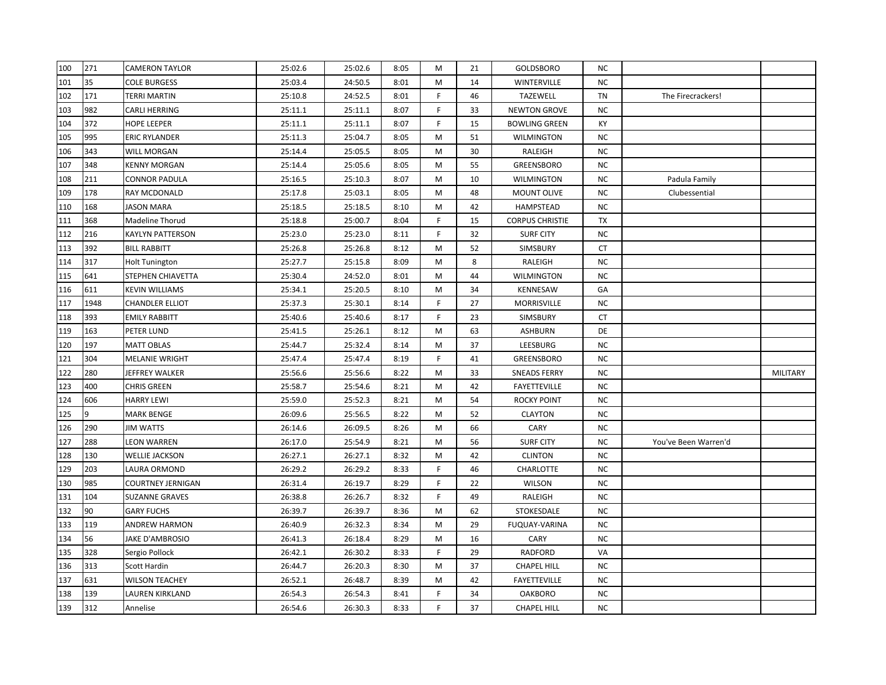| 100 | 271  | <b>CAMERON TAYLOR</b>  | 25:02.6 | 25:02.6 | 8:05 | M           | 21 | GOLDSBORO              | NC.       |                      |          |
|-----|------|------------------------|---------|---------|------|-------------|----|------------------------|-----------|----------------------|----------|
| 101 | 35   | <b>COLE BURGESS</b>    | 25:03.4 | 24:50.5 | 8:01 | М           | 14 | <b>WINTERVILLE</b>     | <b>NC</b> |                      |          |
| 102 | 171  | TERRI MARTIN           | 25:10.8 | 24:52.5 | 8:01 | F           | 46 | <b>TAZEWELL</b>        | TN        | The Firecrackers!    |          |
| 103 | 982  | CARLI HERRING          | 25:11.1 | 25:11.1 | 8:07 | F           | 33 | <b>NEWTON GROVE</b>    | NC        |                      |          |
| 104 | 372  | <b>HOPE LEEPER</b>     | 25:11.1 | 25:11.1 | 8:07 | F           | 15 | <b>BOWLING GREEN</b>   | KY        |                      |          |
| 105 | 995  | <b>ERIC RYLANDER</b>   | 25:11.3 | 25:04.7 | 8:05 | M           | 51 | <b>WILMINGTON</b>      | NC        |                      |          |
| 106 | 343  | WILL MORGAN            | 25:14.4 | 25:05.5 | 8:05 | M           | 30 | RALEIGH                | NC        |                      |          |
| 107 | 348  | <b>KENNY MORGAN</b>    | 25:14.4 | 25:05.6 | 8:05 | M           | 55 | GREENSBORO             | NC        |                      |          |
| 108 | 211  | CONNOR PADULA          | 25:16.5 | 25:10.3 | 8:07 | М           | 10 | <b>WILMINGTON</b>      | NC.       | Padula Family        |          |
| 109 | 178  | RAY MCDONALD           | 25:17.8 | 25:03.1 | 8:05 | М           | 48 | <b>MOUNT OLIVE</b>     | NC.       | Clubessential        |          |
| 110 | 168  | <b>JASON MARA</b>      | 25:18.5 | 25:18.5 | 8:10 | М           | 42 | HAMPSTEAD              | NC        |                      |          |
| 111 | 368  | Madeline Thorud        | 25:18.8 | 25:00.7 | 8:04 | F           | 15 | <b>CORPUS CHRISTIE</b> | TX        |                      |          |
| 112 | 216  | KAYLYN PATTERSON       | 25:23.0 | 25:23.0 | 8:11 | F           | 32 | <b>SURF CITY</b>       | NC        |                      |          |
| 113 | 392  | <b>BILL RABBITT</b>    | 25:26.8 | 25:26.8 | 8:12 | М           | 52 | SIMSBURY               | CT        |                      |          |
| 114 | 317  | <b>Holt Tunington</b>  | 25:27.7 | 25:15.8 | 8:09 | M           | 8  | RALEIGH                | NC        |                      |          |
| 115 | 641  | STEPHEN CHIAVETTA      | 25:30.4 | 24:52.0 | 8:01 | M           | 44 | WILMINGTON             | NC.       |                      |          |
| 116 | 611  | <b>KEVIN WILLIAMS</b>  | 25:34.1 | 25:20.5 | 8:10 | M           | 34 | KENNESAW               | GA        |                      |          |
| 117 | 1948 | <b>CHANDLER ELLIOT</b> | 25:37.3 | 25:30.1 | 8:14 | F           | 27 | MORRISVILLE            | NC        |                      |          |
| 118 | 393  | <b>EMILY RABBITT</b>   | 25:40.6 | 25:40.6 | 8:17 | F           | 23 | SIMSBURY               | CT        |                      |          |
| 119 | 163  | PETER LUND             | 25:41.5 | 25:26.1 | 8:12 | M           | 63 | ASHBURN                | DE        |                      |          |
| 120 | 197  | <b>MATT OBLAS</b>      | 25:44.7 | 25:32.4 | 8:14 | М           | 37 | LEESBURG               | NC.       |                      |          |
| 121 | 304  | MELANIE WRIGHT         | 25:47.4 | 25:47.4 | 8:19 | F           | 41 | GREENSBORO             | NC.       |                      |          |
| 122 | 280  | JEFFREY WALKER         | 25:56.6 | 25:56.6 | 8:22 | М           | 33 | <b>SNEADS FERRY</b>    | NC.       |                      | MILITARY |
| 123 | 400  | <b>CHRIS GREEN</b>     | 25:58.7 | 25:54.6 | 8:21 | М           | 42 | <b>FAYETTEVILLE</b>    | NC.       |                      |          |
| 124 | 606  | <b>HARRY LEWI</b>      | 25:59.0 | 25:52.3 | 8:21 | М           | 54 | <b>ROCKY POINT</b>     | ΝC        |                      |          |
| 125 | 9    | <b>MARK BENGE</b>      | 26:09.6 | 25:56.5 | 8:22 | М           | 52 | <b>CLAYTON</b>         | NC        |                      |          |
| 126 | 290  | JIM WATTS              | 26:14.6 | 26:09.5 | 8:26 | M           | 66 | <b>CARY</b>            | ΝC        |                      |          |
| 127 | 288  | <b>LEON WARREN</b>     | 26:17.0 | 25:54.9 | 8:21 | M           | 56 | <b>SURF CITY</b>       | NC        | You've Been Warren'd |          |
| 128 | 130  | <b>WELLIE JACKSON</b>  | 26:27.1 | 26:27.1 | 8:32 | M           | 42 | <b>CLINTON</b>         | NC        |                      |          |
| 129 | 203  | LAURA ORMOND           | 26:29.2 | 26:29.2 | 8:33 | F           | 46 | <b>CHARLOTTE</b>       | NC        |                      |          |
| 130 | 985  | COURTNEY JERNIGAN      | 26:31.4 | 26:19.7 | 8:29 | F           | 22 | WILSON                 | ΝC        |                      |          |
| 131 | 104  | <b>SUZANNE GRAVES</b>  | 26:38.8 | 26:26.7 | 8:32 | F           | 49 | RALEIGH                | NC        |                      |          |
| 132 | 90   | <b>GARY FUCHS</b>      | 26:39.7 | 26:39.7 | 8:36 | М           | 62 | STOKESDALE             | NC        |                      |          |
| 133 | 119  | <b>ANDREW HARMON</b>   | 26:40.9 | 26:32.3 | 8:34 | M           | 29 | <b>FUQUAY-VARINA</b>   | NC.       |                      |          |
| 134 | 56   | JAKE D'AMBROSIO        | 26:41.3 | 26:18.4 | 8:29 | M           | 16 | <b>CARY</b>            | NC.       |                      |          |
| 135 | 328  | Sergio Pollock         | 26:42.1 | 26:30.2 | 8:33 | F           | 29 | <b>RADFORD</b>         | VA        |                      |          |
| 136 | 313  | Scott Hardin           | 26:44.7 | 26:20.3 | 8:30 | M           | 37 | <b>CHAPEL HILL</b>     | NC        |                      |          |
| 137 | 631  | <b>WILSON TEACHEY</b>  | 26:52.1 | 26:48.7 | 8:39 | M           | 42 | <b>FAYETTEVILLE</b>    | ΝC        |                      |          |
| 138 | 139  | LAUREN KIRKLAND        | 26:54.3 | 26:54.3 | 8:41 | F           | 34 | <b>OAKBORO</b>         | NC        |                      |          |
| 139 | 312  | Annelise               | 26:54.6 | 26:30.3 | 8:33 | $\mathsf F$ | 37 | <b>CHAPEL HILL</b>     | <b>NC</b> |                      |          |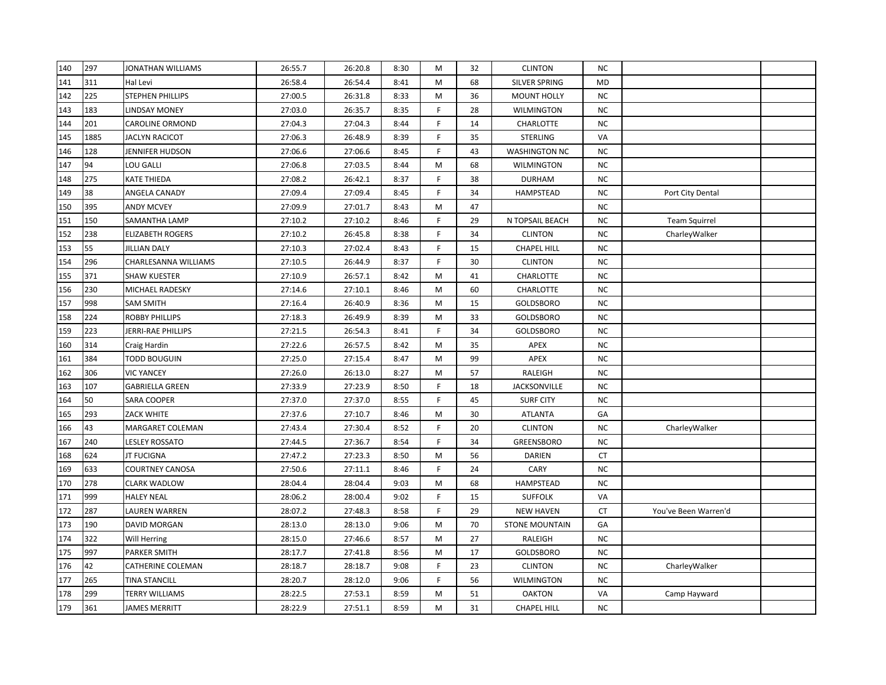| 140 | 297  | JONATHAN WILLIAMS       | 26:55.7 | 26:20.8 | 8:30 | M | 32 | <b>CLINTON</b>        | <b>NC</b> |                      |  |
|-----|------|-------------------------|---------|---------|------|---|----|-----------------------|-----------|----------------------|--|
| 141 | 311  | Hal Levi                | 26:58.4 | 26:54.4 | 8:41 | M | 68 | SILVER SPRING         | <b>MD</b> |                      |  |
| 142 | 225  | STEPHEN PHILLIPS        | 27:00.5 | 26:31.8 | 8:33 | M | 36 | <b>MOUNT HOLLY</b>    | <b>NC</b> |                      |  |
| 143 | 183  | <b>LINDSAY MONEY</b>    | 27:03.0 | 26:35.7 | 8:35 | F | 28 | <b>WILMINGTON</b>     | NC        |                      |  |
| 144 | 201  | <b>CAROLINE ORMOND</b>  | 27:04.3 | 27:04.3 | 8:44 | F | 14 | CHARLOTTE             | <b>NC</b> |                      |  |
| 145 | 1885 | <b>JACLYN RACICOT</b>   | 27:06.3 | 26:48.9 | 8:39 | F | 35 | <b>STERLING</b>       | VA        |                      |  |
| 146 | 128  | JENNIFER HUDSON         | 27:06.6 | 27:06.6 | 8:45 | F | 43 | <b>WASHINGTON NC</b>  | <b>NC</b> |                      |  |
| 147 | 94   | LOU GALLI               | 27:06.8 | 27:03.5 | 8:44 | M | 68 | <b>WILMINGTON</b>     | <b>NC</b> |                      |  |
| 148 | 275  | KATE THIEDA             | 27:08.2 | 26:42.1 | 8:37 | F | 38 | <b>DURHAM</b>         | <b>NC</b> |                      |  |
| 149 | 38   | ANGELA CANADY           | 27:09.4 | 27:09.4 | 8:45 | F | 34 | <b>HAMPSTEAD</b>      | <b>NC</b> | Port City Dental     |  |
| 150 | 395  | <b>ANDY MCVEY</b>       | 27:09.9 | 27:01.7 | 8:43 | M | 47 |                       | <b>NC</b> |                      |  |
| 151 | 150  | SAMANTHA LAMP           | 27:10.2 | 27:10.2 | 8:46 | E | 29 | N TOPSAIL BEACH       | <b>NC</b> | <b>Team Squirrel</b> |  |
| 152 | 238  | <b>ELIZABETH ROGERS</b> | 27:10.2 | 26:45.8 | 8:38 | F | 34 | <b>CLINTON</b>        | <b>NC</b> | CharleyWalker        |  |
| 153 | 55   | <b>JILLIAN DALY</b>     | 27:10.3 | 27:02.4 | 8:43 | F | 15 | <b>CHAPEL HILL</b>    | <b>NC</b> |                      |  |
| 154 | 296  | CHARLESANNA WILLIAMS    | 27:10.5 | 26:44.9 | 8:37 | F | 30 | <b>CLINTON</b>        | <b>NC</b> |                      |  |
| 155 | 371  | SHAW KUESTER            | 27:10.9 | 26:57.1 | 8:42 | M | 41 | CHARLOTTE             | <b>NC</b> |                      |  |
| 156 | 230  | MICHAEL RADESKY         | 27:14.6 | 27:10.1 | 8:46 | M | 60 | CHARLOTTE             | <b>NC</b> |                      |  |
| 157 | 998  | SAM SMITH               | 27:16.4 | 26:40.9 | 8:36 | M | 15 | <b>GOLDSBORO</b>      | <b>NC</b> |                      |  |
| 158 | 224  | <b>ROBBY PHILLIPS</b>   | 27:18.3 | 26:49.9 | 8:39 | M | 33 | <b>GOLDSBORO</b>      | <b>NC</b> |                      |  |
| 159 | 223  | JERRI-RAE PHILLIPS      | 27:21.5 | 26:54.3 | 8:41 | E | 34 | GOLDSBORO             | <b>NC</b> |                      |  |
| 160 | 314  | Craig Hardin            | 27:22.6 | 26:57.5 | 8:42 | M | 35 | APEX                  | <b>NC</b> |                      |  |
| 161 | 384  | <b>TODD BOUGUIN</b>     | 27:25.0 | 27:15.4 | 8:47 | M | 99 | APEX                  | <b>NC</b> |                      |  |
| 162 | 306  | <b>VIC YANCEY</b>       | 27:26.0 | 26:13.0 | 8:27 | M | 57 | RALEIGH               | <b>NC</b> |                      |  |
| 163 | 107  | <b>GABRIELLA GREEN</b>  | 27:33.9 | 27:23.9 | 8:50 | F | 18 | <b>JACKSONVILLE</b>   | <b>NC</b> |                      |  |
| 164 | 50   | SARA COOPER             | 27:37.0 | 27:37.0 | 8:55 | F | 45 | <b>SURF CITY</b>      | <b>NC</b> |                      |  |
| 165 | 293  | ZACK WHITE              | 27:37.6 | 27:10.7 | 8:46 | M | 30 | <b>ATLANTA</b>        | GA        |                      |  |
| 166 | 43   | MARGARET COLEMAN        | 27:43.4 | 27:30.4 | 8:52 | F | 20 | <b>CLINTON</b>        | <b>NC</b> | CharleyWalker        |  |
| 167 | 240  | <b>LESLEY ROSSATO</b>   | 27:44.5 | 27:36.7 | 8:54 | F | 34 | GREENSBORO            | <b>NC</b> |                      |  |
| 168 | 624  | <b>JT FUCIGNA</b>       | 27:47.2 | 27:23.3 | 8:50 | M | 56 | DARIEN                | CT        |                      |  |
| 169 | 633  | <b>COURTNEY CANOSA</b>  | 27:50.6 | 27:11.1 | 8:46 | F | 24 | CARY                  | <b>NC</b> |                      |  |
| 170 | 278  | <b>CLARK WADLOW</b>     | 28:04.4 | 28:04.4 | 9:03 | M | 68 | HAMPSTEAD             | <b>NC</b> |                      |  |
| 171 | 999  | <b>HALEY NEAL</b>       | 28:06.2 | 28:00.4 | 9:02 | F | 15 | <b>SUFFOLK</b>        | VA        |                      |  |
| 172 | 287  | LAUREN WARREN           | 28:07.2 | 27:48.3 | 8:58 | F | 29 | <b>NEW HAVEN</b>      | <b>CT</b> | You've Been Warren'd |  |
| 173 | 190  | DAVID MORGAN            | 28:13.0 | 28:13.0 | 9:06 | M | 70 | <b>STONE MOUNTAIN</b> | GA        |                      |  |
| 174 | 322  | Will Herring            | 28:15.0 | 27:46.6 | 8:57 | M | 27 | RALEIGH               | <b>NC</b> |                      |  |
| 175 | 997  | <b>PARKER SMITH</b>     | 28:17.7 | 27:41.8 | 8:56 | M | 17 | <b>GOLDSBORO</b>      | <b>NC</b> |                      |  |
| 176 | 42   | CATHERINE COLEMAN       | 28:18.7 | 28:18.7 | 9:08 | F | 23 | <b>CLINTON</b>        | <b>NC</b> | CharleyWalker        |  |
| 177 | 265  | <b>TINA STANCILL</b>    | 28:20.7 | 28:12.0 | 9:06 | F | 56 | WILMINGTON            | <b>NC</b> |                      |  |
| 178 | 299  | <b>TERRY WILLIAMS</b>   | 28:22.5 | 27:53.1 | 8:59 | M | 51 | <b>OAKTON</b>         | VA        | Camp Hayward         |  |
| 179 | 361  | JAMES MERRITT           | 28:22.9 | 27:51.1 | 8:59 | M | 31 | <b>CHAPEL HILL</b>    | <b>NC</b> |                      |  |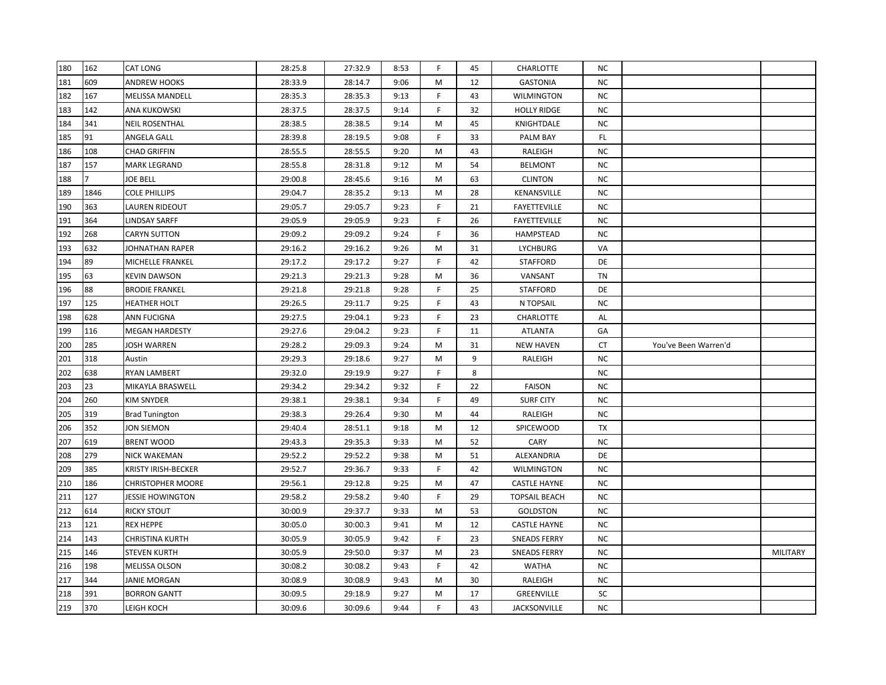| 180 | 162  | CAT LONG                 | 28:25.8 | 27:32.9 | 8:53 | F. | 45 | <b>CHARLOTTE</b>     | NC.       |                      |                 |
|-----|------|--------------------------|---------|---------|------|----|----|----------------------|-----------|----------------------|-----------------|
| 181 | 609  | <b>ANDREW HOOKS</b>      | 28:33.9 | 28:14.7 | 9:06 | M  | 12 | <b>GASTONIA</b>      | <b>NC</b> |                      |                 |
| 182 | 167  | MELISSA MANDELL          | 28:35.3 | 28:35.3 | 9:13 | F. | 43 | <b>WILMINGTON</b>    | NC        |                      |                 |
| 183 | 142  | ANA KUKOWSKI             | 28:37.5 | 28:37.5 | 9:14 | F  | 32 | <b>HOLLY RIDGE</b>   | NC        |                      |                 |
| 184 | 341  | <b>NEIL ROSENTHAL</b>    | 28:38.5 | 28:38.5 | 9:14 | M  | 45 | KNIGHTDALE           | NC        |                      |                 |
| 185 | 91   | ANGELA GALL              | 28:39.8 | 28:19.5 | 9:08 | F  | 33 | PALM BAY             | FL.       |                      |                 |
| 186 | 108  | CHAD GRIFFIN             | 28:55.5 | 28:55.5 | 9:20 | М  | 43 | RALEIGH              | NC.       |                      |                 |
| 187 | 157  | MARK LEGRAND             | 28:55.8 | 28:31.8 | 9:12 | M  | 54 | <b>BELMONT</b>       | NC.       |                      |                 |
| 188 |      | JOE BELL                 | 29:00.8 | 28:45.6 | 9:16 | М  | 63 | <b>CLINTON</b>       | NC.       |                      |                 |
| 189 | 1846 | <b>COLE PHILLIPS</b>     | 29:04.7 | 28:35.2 | 9:13 | М  | 28 | KENANSVILLE          | <b>NC</b> |                      |                 |
| 190 | 363  | LAUREN RIDEOUT           | 29:05.7 | 29:05.7 | 9:23 | F  | 21 | <b>FAYETTEVILLE</b>  | <b>NC</b> |                      |                 |
| 191 | 364  | LINDSAY SARFF            | 29:05.9 | 29:05.9 | 9:23 | F  | 26 | FAYETTEVILLE         | <b>NC</b> |                      |                 |
| 192 | 268  | <b>CARYN SUTTON</b>      | 29:09.2 | 29:09.2 | 9:24 | F  | 36 | HAMPSTEAD            | <b>NC</b> |                      |                 |
| 193 | 632  | JOHNATHAN RAPER          | 29:16.2 | 29:16.2 | 9:26 | M  | 31 | <b>LYCHBURG</b>      | VA        |                      |                 |
| 194 | 89   | MICHELLE FRANKEL         | 29:17.2 | 29:17.2 | 9:27 | F  | 42 | <b>STAFFORD</b>      | DE        |                      |                 |
| 195 | 63   | <b>KEVIN DAWSON</b>      | 29:21.3 | 29:21.3 | 9:28 | Μ  | 36 | VANSANT              | TN        |                      |                 |
| 196 | 88   | <b>BRODIE FRANKEL</b>    | 29:21.8 | 29:21.8 | 9:28 | F. | 25 | <b>STAFFORD</b>      | DE        |                      |                 |
| 197 | 125  | HEATHER HOLT             | 29:26.5 | 29:11.7 | 9:25 | F. | 43 | N TOPSAIL            | NC        |                      |                 |
| 198 | 628  | ANN FUCIGNA              | 29:27.5 | 29:04.1 | 9:23 | F. | 23 | CHARLOTTE            | AL        |                      |                 |
| 199 | 116  | <b>MEGAN HARDESTY</b>    | 29:27.6 | 29:04.2 | 9:23 | F  | 11 | <b>ATLANTA</b>       | GA        |                      |                 |
| 200 | 285  | <b>JOSH WARREN</b>       | 29:28.2 | 29:09.3 | 9:24 | M  | 31 | <b>NEW HAVEN</b>     | CT        | You've Been Warren'd |                 |
| 201 | 318  | Austin                   | 29:29.3 | 29:18.6 | 9:27 | Μ  | 9  | RALEIGH              | NC        |                      |                 |
| 202 | 638  | RYAN LAMBERT             | 29:32.0 | 29:19.9 | 9:27 | F  | 8  |                      | NC        |                      |                 |
| 203 | 23   | MIKAYLA BRASWELL         | 29:34.2 | 29:34.2 | 9:32 | F  | 22 | <b>FAISON</b>        | NC.       |                      |                 |
| 204 | 260  | KIM SNYDER               | 29:38.1 | 29:38.1 | 9:34 | F. | 49 | <b>SURF CITY</b>     | NC.       |                      |                 |
| 205 | 319  | <b>Brad Tunington</b>    | 29:38.3 | 29:26.4 | 9:30 | М  |    |                      |           |                      |                 |
| 206 | 352  | JON SIEMON               |         |         |      |    | 44 | RALEIGH              | NC        |                      |                 |
| 207 |      |                          | 29:40.4 | 28:51.1 | 9:18 | М  | 12 | SPICEWOOD            | TX        |                      |                 |
| 208 | 619  | <b>BRENT WOOD</b>        | 29:43.3 | 29:35.3 | 9:33 | М  | 52 | CARY                 | <b>NC</b> |                      |                 |
|     | 279  | NICK WAKEMAN             | 29:52.2 | 29:52.2 | 9:38 | Μ  | 51 | ALEXANDRIA           | DE        |                      |                 |
| 209 | 385  | KRISTY IRISH-BECKER      | 29:52.7 | 29:36.7 | 9:33 | F  | 42 | <b>WILMINGTON</b>    | NC        |                      |                 |
| 210 | 186  | <b>CHRISTOPHER MOORE</b> | 29:56.1 | 29:12.8 | 9:25 | Μ  | 47 | <b>CASTLE HAYNE</b>  | NC.       |                      |                 |
| 211 | 127  | <b>JESSIE HOWINGTON</b>  | 29:58.2 | 29:58.2 | 9:40 | F  | 29 | <b>TOPSAIL BEACH</b> | NC        |                      |                 |
| 212 | 614  | RICKY STOUT              | 30:00.9 | 29:37.7 | 9:33 | м  | 53 | <b>GOLDSTON</b>      | NC        |                      |                 |
| 213 | 121  | <b>REX HEPPE</b>         | 30:05.0 | 30:00.3 | 9:41 | М  | 12 | <b>CASTLE HAYNE</b>  | NC.       |                      |                 |
| 214 | 143  | CHRISTINA KURTH          | 30:05.9 | 30:05.9 | 9:42 | F  | 23 | <b>SNEADS FERRY</b>  | NC.       |                      |                 |
| 215 | 146  | <b>STEVEN KURTH</b>      | 30:05.9 | 29:50.0 | 9:37 | М  | 23 | <b>SNEADS FERRY</b>  | NC        |                      | <b>MILITARY</b> |
| 216 | 198  | <b>MELISSA OLSON</b>     | 30:08.2 | 30:08.2 | 9:43 | F  | 42 | <b>WATHA</b>         | NC        |                      |                 |
| 217 | 344  | JANIE MORGAN             | 30:08.9 | 30:08.9 | 9:43 | M  | 30 | RALEIGH              | ΝC        |                      |                 |
| 218 | 391  | <b>BORRON GANTT</b>      | 30:09.5 | 29:18.9 | 9:27 | М  | 17 | GREENVILLE           | SC        |                      |                 |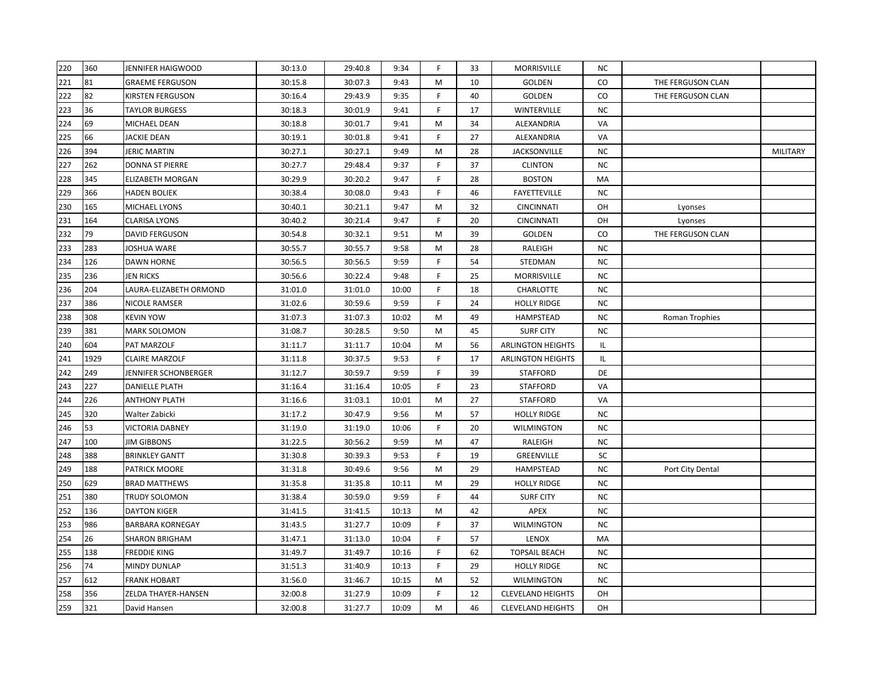| 220 | 360  | <b>JENNIFER HAIGWOOD</b> | 30:13.0 | 29:40.8 | 9:34  | F.          | 33 | MORRISVILLE              | NC.       |                   |                 |
|-----|------|--------------------------|---------|---------|-------|-------------|----|--------------------------|-----------|-------------------|-----------------|
| 221 | 81   | <b>GRAEME FERGUSON</b>   | 30:15.8 | 30:07.3 | 9:43  | M           | 10 | GOLDEN                   | CO        | THE FERGUSON CLAN |                 |
| 222 | 82   | <b>KIRSTEN FERGUSON</b>  | 30:16.4 | 29:43.9 | 9:35  | F           | 40 | GOLDEN                   | CO        | THE FERGUSON CLAN |                 |
| 223 | 36   | <b>TAYLOR BURGESS</b>    | 30:18.3 | 30:01.9 | 9:41  | F           | 17 | WINTERVILLE              | <b>NC</b> |                   |                 |
| 224 | 69   | MICHAEL DEAN             | 30:18.8 | 30:01.7 | 9:41  | M           | 34 | ALEXANDRIA               | VA        |                   |                 |
| 225 | 66   | <b>JACKIE DEAN</b>       | 30:19.1 | 30:01.8 | 9:41  | F           | 27 | ALEXANDRIA               | VA        |                   |                 |
| 226 | 394  | <b>JERIC MARTIN</b>      | 30:27.1 | 30:27.1 | 9:49  | M           | 28 | JACKSONVILLE             | <b>NC</b> |                   | <b>MILITARY</b> |
| 227 | 262  | <b>DONNA ST PIERRE</b>   | 30:27.7 | 29:48.4 | 9:37  | F           | 37 | <b>CLINTON</b>           | <b>NC</b> |                   |                 |
| 228 | 345  | ELIZABETH MORGAN         | 30:29.9 | 30:20.2 | 9:47  | F.          | 28 | <b>BOSTON</b>            | MA        |                   |                 |
| 229 | 366  | <b>HADEN BOLIEK</b>      | 30:38.4 | 30:08.0 | 9:43  | F.          | 46 | <b>FAYETTEVILLE</b>      | NC.       |                   |                 |
| 230 | 165  | <b>MICHAEL LYONS</b>     | 30:40.1 | 30:21.1 | 9:47  | M           | 32 | <b>CINCINNATI</b>        | OH        | Lyonses           |                 |
| 231 | 164  | <b>CLARISA LYONS</b>     | 30:40.2 | 30:21.4 | 9:47  | F           | 20 | <b>CINCINNATI</b>        | OH        | Lyonses           |                 |
| 232 | 79   | <b>DAVID FERGUSON</b>    | 30:54.8 | 30:32.1 | 9:51  | M           | 39 | GOLDEN                   | CO        | THE FERGUSON CLAN |                 |
| 233 | 283  | JOSHUA WARE              | 30:55.7 | 30:55.7 | 9:58  | M           | 28 | RALEIGH                  | <b>NC</b> |                   |                 |
| 234 | 126  | <b>DAWN HORNE</b>        | 30:56.5 | 30:56.5 | 9:59  | F           | 54 | STEDMAN                  | <b>NC</b> |                   |                 |
| 235 | 236  | <b>JEN RICKS</b>         | 30:56.6 | 30:22.4 | 9:48  | F           | 25 | MORRISVILLE              | NC.       |                   |                 |
| 236 | 204  | LAURA-ELIZABETH ORMOND   | 31:01.0 | 31:01.0 | 10:00 | F.          | 18 | CHARLOTTE                | <b>NC</b> |                   |                 |
| 237 | 386  | NICOLE RAMSER            | 31:02.6 | 30:59.6 | 9:59  | F           | 24 | <b>HOLLY RIDGE</b>       | <b>NC</b> |                   |                 |
| 238 | 308  | <b>KEVIN YOW</b>         | 31:07.3 | 31:07.3 | 10:02 | M           | 49 | HAMPSTEAD                | <b>NC</b> | Roman Trophies    |                 |
| 239 | 381  | <b>MARK SOLOMON</b>      | 31:08.7 | 30:28.5 | 9:50  | М           | 45 | <b>SURF CITY</b>         | NC.       |                   |                 |
| 240 | 604  | PAT MARZOLF              | 31:11.7 | 31:11.7 | 10:04 | M           | 56 | <b>ARLINGTON HEIGHTS</b> | IL.       |                   |                 |
| 241 | 1929 | <b>CLAIRE MARZOLF</b>    | 31:11.8 | 30:37.5 | 9:53  | F           | 17 | <b>ARLINGTON HEIGHTS</b> | IL.       |                   |                 |
| 242 | 249  | JENNIFER SCHONBERGER     | 31:12.7 | 30:59.7 | 9:59  | F           | 39 | <b>STAFFORD</b>          | DE        |                   |                 |
| 243 | 227  | <b>DANIELLE PLATH</b>    | 31:16.4 | 31:16.4 | 10:05 | F           | 23 | <b>STAFFORD</b>          | VA        |                   |                 |
| 244 | 226  | <b>ANTHONY PLATH</b>     | 31:16.6 | 31:03.1 | 10:01 | M           | 27 | <b>STAFFORD</b>          | VA        |                   |                 |
| 245 | 320  | Walter Zabicki           | 31:17.2 | 30:47.9 | 9:56  | M           | 57 | <b>HOLLY RIDGE</b>       | <b>NC</b> |                   |                 |
| 246 | 53   | <b>VICTORIA DABNEY</b>   | 31:19.0 | 31:19.0 | 10:06 | F           | 20 | <b>WILMINGTON</b>        | <b>NC</b> |                   |                 |
| 247 | 100  | <b>JIM GIBBONS</b>       | 31:22.5 | 30:56.2 | 9:59  | M           | 47 | RALEIGH                  | <b>NC</b> |                   |                 |
| 248 | 388  | <b>BRINKLEY GANTT</b>    | 31:30.8 | 30:39.3 | 9:53  | F           | 19 | GREENVILLE               | SC        |                   |                 |
| 249 | 188  | <b>PATRICK MOORE</b>     | 31:31.8 | 30:49.6 | 9:56  | M           | 29 | HAMPSTEAD                | <b>NC</b> | Port City Dental  |                 |
| 250 | 629  | <b>BRAD MATTHEWS</b>     | 31:35.8 | 31:35.8 | 10:11 | M           | 29 | <b>HOLLY RIDGE</b>       | ΝC        |                   |                 |
| 251 | 380  | TRUDY SOLOMON            | 31:38.4 | 30:59.0 | 9:59  | $\mathsf F$ | 44 | <b>SURF CITY</b>         | NC.       |                   |                 |
| 252 | 136  | <b>DAYTON KIGER</b>      | 31:41.5 | 31:41.5 | 10:13 | M           | 42 | APEX                     | <b>NC</b> |                   |                 |
| 253 | 986  | <b>BARBARA KORNEGAY</b>  | 31:43.5 | 31:27.7 | 10:09 | F           | 37 | <b>WILMINGTON</b>        | ΝC        |                   |                 |
| 254 | 26   | <b>SHARON BRIGHAM</b>    | 31:47.1 | 31:13.0 | 10:04 | F           | 57 | LENOX                    | MA        |                   |                 |
| 255 | 138  | <b>FREDDIE KING</b>      | 31:49.7 | 31:49.7 | 10:16 | F.          | 62 | <b>TOPSAIL BEACH</b>     | <b>NC</b> |                   |                 |
| 256 | 74   | <b>MINDY DUNLAP</b>      | 31:51.3 | 31:40.9 | 10:13 | F           | 29 | <b>HOLLY RIDGE</b>       | NC.       |                   |                 |
| 257 | 612  | <b>FRANK HOBART</b>      | 31:56.0 | 31:46.7 | 10:15 | M           | 52 | <b>WILMINGTON</b>        | <b>NC</b> |                   |                 |
| 258 | 356  | ZELDA THAYER-HANSEN      | 32:00.8 | 31:27.9 | 10:09 | F           | 12 | <b>CLEVELAND HEIGHTS</b> | OH        |                   |                 |
| 259 | 321  | David Hansen             | 32:00.8 | 31:27.7 | 10:09 | M           | 46 | <b>CLEVELAND HEIGHTS</b> | OH        |                   |                 |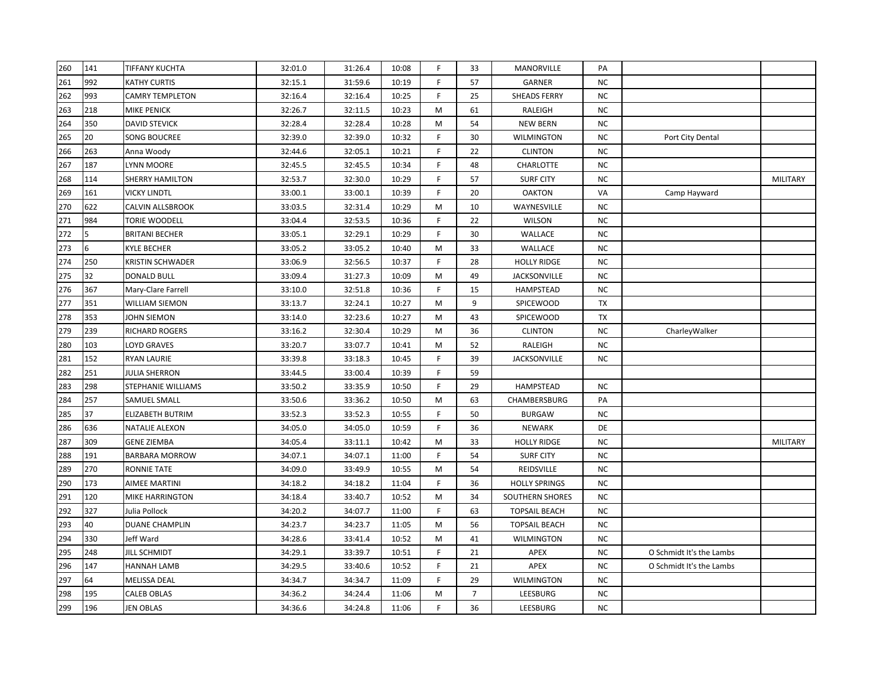| 260 | 141 | <b>TIFFANY KUCHTA</b>   | 32:01.0 | 31:26.4 | 10:08 | F.           | 33             | MANORVILLE           | PA        |                          |                 |
|-----|-----|-------------------------|---------|---------|-------|--------------|----------------|----------------------|-----------|--------------------------|-----------------|
| 261 | 992 | KATHY CURTIS            | 32:15.1 | 31:59.6 | 10:19 | F            | 57             | GARNER               | NC        |                          |                 |
| 262 | 993 | CAMRY TEMPLETON         | 32:16.4 | 32:16.4 | 10:25 | F            | 25             | <b>SHEADS FERRY</b>  | <b>NC</b> |                          |                 |
| 263 | 218 | <b>MIKE PENICK</b>      | 32:26.7 | 32:11.5 | 10:23 | M            | 61             | RALEIGH              | <b>NC</b> |                          |                 |
| 264 | 350 | <b>DAVID STEVICK</b>    | 32:28.4 | 32:28.4 | 10:28 | Μ            | 54             | <b>NEW BERN</b>      | <b>NC</b> |                          |                 |
| 265 | 20  | <b>SONG BOUCREE</b>     | 32:39.0 | 32:39.0 | 10:32 | F            | 30             | <b>WILMINGTON</b>    | <b>NC</b> | Port City Dental         |                 |
| 266 | 263 | Anna Woody              | 32:44.6 | 32:05.1 | 10:21 | F            | 22             | <b>CLINTON</b>       | <b>NC</b> |                          |                 |
| 267 | 187 | LYNN MOORE              | 32:45.5 | 32:45.5 | 10:34 | F            | 48             | CHARLOTTE            | <b>NC</b> |                          |                 |
| 268 | 114 | SHERRY HAMILTON         | 32:53.7 | 32:30.0 | 10:29 | F            | 57             | <b>SURF CITY</b>     | NC        |                          | <b>MILITARY</b> |
| 269 | 161 | <b>VICKY LINDTL</b>     | 33:00.1 | 33:00.1 | 10:39 | F            | 20             | <b>OAKTON</b>        | VA        | Camp Hayward             |                 |
| 270 | 622 | <b>CALVIN ALLSBROOK</b> | 33:03.5 | 32:31.4 | 10:29 | М            | 10             | WAYNESVILLE          | <b>NC</b> |                          |                 |
| 271 | 984 | TORIE WOODELL           | 33:04.4 | 32:53.5 | 10:36 | F            | 22             | <b>WILSON</b>        | NC.       |                          |                 |
| 272 | 5.  | <b>BRITANI BECHER</b>   | 33:05.1 | 32:29.1 | 10:29 | F            | 30             | WALLACE              | <b>NC</b> |                          |                 |
| 273 | 6   | <b>KYLE BECHER</b>      | 33:05.2 | 33:05.2 | 10:40 | Μ            | 33             | WALLACE              | NC.       |                          |                 |
| 274 | 250 | <b>KRISTIN SCHWADER</b> | 33:06.9 | 32:56.5 | 10:37 | F            | 28             | <b>HOLLY RIDGE</b>   | <b>NC</b> |                          |                 |
| 275 | 32  | <b>DONALD BULL</b>      | 33:09.4 | 31:27.3 | 10:09 | Μ            | 49             | <b>JACKSONVILLE</b>  | NC.       |                          |                 |
| 276 | 367 | Mary-Clare Farrell      | 33:10.0 | 32:51.8 | 10:36 | F            | 15             | HAMPSTEAD            | NC        |                          |                 |
| 277 | 351 | <b>WILLIAM SIEMON</b>   | 33:13.7 | 32:24.1 | 10:27 | М            | 9              | SPICEWOOD            | <b>TX</b> |                          |                 |
| 278 | 353 | JOHN SIEMON             | 33:14.0 | 32:23.6 | 10:27 | М            | 43             | SPICEWOOD            | TX        |                          |                 |
| 279 | 239 | <b>RICHARD ROGERS</b>   | 33:16.2 | 32:30.4 | 10:29 | M            | 36             | <b>CLINTON</b>       | <b>NC</b> | CharleyWalker            |                 |
| 280 | 103 | <b>LOYD GRAVES</b>      | 33:20.7 | 33:07.7 | 10:41 | M            | 52             | RALEIGH              | <b>NC</b> |                          |                 |
| 281 | 152 | <b>RYAN LAURIE</b>      | 33:39.8 | 33:18.3 | 10:45 | F            | 39             | JACKSONVILLE         | NC        |                          |                 |
| 282 | 251 | <b>JULIA SHERRON</b>    | 33:44.5 | 33:00.4 | 10:39 | F            | 59             |                      |           |                          |                 |
| 283 | 298 | STEPHANIE WILLIAMS      | 33:50.2 | 33:35.9 | 10:50 | F            | 29             | <b>HAMPSTEAD</b>     | NC.       |                          |                 |
| 284 | 257 | SAMUEL SMALL            | 33:50.6 | 33:36.2 | 10:50 | М            | 63             | CHAMBERSBURG         | PA        |                          |                 |
| 285 | 37  | <b>ELIZABETH BUTRIM</b> | 33:52.3 | 33:52.3 | 10:55 | F            | 50             | <b>BURGAW</b>        | NC.       |                          |                 |
| 286 | 636 | <b>NATALIE ALEXON</b>   | 34:05.0 | 34:05.0 | 10:59 | F            | 36             | <b>NEWARK</b>        | DE        |                          |                 |
| 287 | 309 | <b>GENE ZIEMBA</b>      | 34:05.4 | 33:11.1 | 10:42 | M            | 33             | <b>HOLLY RIDGE</b>   | <b>NC</b> |                          | MILITARY        |
| 288 | 191 | <b>BARBARA MORROW</b>   | 34:07.1 | 34:07.1 | 11:00 | $\mathsf{F}$ | 54             | <b>SURF CITY</b>     | <b>NC</b> |                          |                 |
| 289 | 270 | <b>RONNIE TATE</b>      | 34:09.0 | 33:49.9 | 10:55 | M            | 54             | REIDSVILLE           | <b>NC</b> |                          |                 |
| 290 | 173 | <b>AIMEE MARTINI</b>    | 34:18.2 | 34:18.2 | 11:04 | F            | 36             | <b>HOLLY SPRINGS</b> | NC.       |                          |                 |
| 291 | 120 | <b>MIKE HARRINGTON</b>  | 34:18.4 | 33:40.7 | 10:52 | М            | 34             | SOUTHERN SHORES      | NC.       |                          |                 |
| 292 | 327 | Julia Pollock           | 34:20.2 | 34:07.7 | 11:00 | F.           | 63             | <b>TOPSAIL BEACH</b> | <b>NC</b> |                          |                 |
| 293 | 40  | <b>DUANE CHAMPLIN</b>   | 34:23.7 | 34:23.7 | 11:05 | M            | 56             | <b>TOPSAIL BEACH</b> | <b>NC</b> |                          |                 |
| 294 | 330 | Jeff Ward               | 34:28.6 | 33:41.4 | 10:52 | M            | 41             | <b>WILMINGTON</b>    | <b>NC</b> |                          |                 |
| 295 | 248 | <b>JILL SCHMIDT</b>     | 34:29.1 | 33:39.7 | 10:51 | F            | 21             | APEX                 | <b>NC</b> | O Schmidt It's the Lambs |                 |
| 296 | 147 | HANNAH LAMB             | 34:29.5 | 33:40.6 | 10:52 | F            | 21             | APEX                 | <b>NC</b> | O Schmidt It's the Lambs |                 |
| 297 | 64  | MELISSA DEAL            | 34:34.7 | 34:34.7 | 11:09 | F            | 29             | <b>WILMINGTON</b>    | NC.       |                          |                 |
| 298 | 195 | <b>CALEB OBLAS</b>      | 34:36.2 | 34:24.4 | 11:06 | М            | $\overline{7}$ | LEESBURG             | NC        |                          |                 |
| 299 | 196 | JEN OBLAS               | 34:36.6 | 34:24.8 | 11:06 | F            | 36             | LEESBURG             | <b>NC</b> |                          |                 |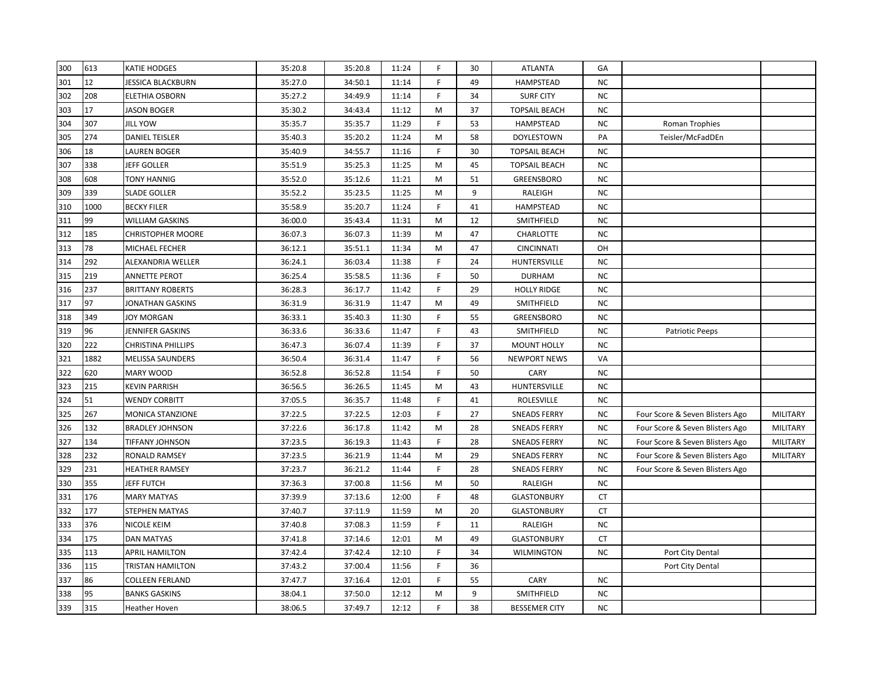| 300 | 613  | <b>KATIE HODGES</b>       | 35:20.8 | 35:20.8 | 11:24 | F.          | 30 | <b>ATLANTA</b>       | GA        |                                 |                 |
|-----|------|---------------------------|---------|---------|-------|-------------|----|----------------------|-----------|---------------------------------|-----------------|
| 301 | 12   | JESSICA BLACKBURN         | 35:27.0 | 34:50.1 | 11:14 | F           | 49 | HAMPSTEAD            | <b>NC</b> |                                 |                 |
| 302 | 208  | ELETHIA OSBORN            | 35:27.2 | 34:49.9 | 11:14 | F           | 34 | <b>SURF CITY</b>     | <b>NC</b> |                                 |                 |
| 303 | 17   | <b>JASON BOGER</b>        | 35:30.2 | 34:43.4 | 11:12 | M           | 37 | <b>TOPSAIL BEACH</b> | <b>NC</b> |                                 |                 |
| 304 | 307  | <b>JILL YOW</b>           | 35:35.7 | 35:35.7 | 11:29 | F           | 53 | HAMPSTEAD            | <b>NC</b> | Roman Trophies                  |                 |
| 305 | 274  | <b>DANIEL TEISLER</b>     | 35:40.3 | 35:20.2 | 11:24 | M           | 58 | <b>DOYLESTOWN</b>    | PA        | Teisler/McFadDEn                |                 |
| 306 | 18   | <b>LAUREN BOGER</b>       | 35:40.9 | 34:55.7 | 11:16 | F           | 30 | <b>TOPSAIL BEACH</b> | <b>NC</b> |                                 |                 |
| 307 | 338  | JEFF GOLLER               | 35:51.9 | 35:25.3 | 11:25 | M           | 45 | <b>TOPSAIL BEACH</b> | NC.       |                                 |                 |
| 308 | 608  | TONY HANNIG               | 35:52.0 | 35:12.6 | 11:21 | M           | 51 | GREENSBORO           | NC.       |                                 |                 |
| 309 | 339  | <b>SLADE GOLLER</b>       | 35:52.2 | 35:23.5 | 11:25 | M           | 9  | RALEIGH              | <b>NC</b> |                                 |                 |
| 310 | 1000 | <b>BECKY FILER</b>        | 35:58.9 | 35:20.7 | 11:24 | F           | 41 | HAMPSTEAD            | <b>NC</b> |                                 |                 |
| 311 | 99   | <b>WILLIAM GASKINS</b>    | 36:00.0 | 35:43.4 | 11:31 | M           | 12 | SMITHFIELD           | <b>NC</b> |                                 |                 |
| 312 | 185  | <b>CHRISTOPHER MOORE</b>  | 36:07.3 | 36:07.3 | 11:39 | M           | 47 | CHARLOTTE            | NC.       |                                 |                 |
| 313 | 78   | MICHAEL FECHER            | 36:12.1 | 35:51.1 | 11:34 | M           | 47 | <b>CINCINNATI</b>    | OH        |                                 |                 |
| 314 | 292  | ALEXANDRIA WELLER         | 36:24.1 | 36:03.4 | 11:38 | F           | 24 | HUNTERSVILLE         | NC.       |                                 |                 |
| 315 | 219  | ANNETTE PEROT             | 36:25.4 | 35:58.5 | 11:36 | F           | 50 | <b>DURHAM</b>        | NC.       |                                 |                 |
| 316 | 237  | <b>BRITTANY ROBERTS</b>   | 36:28.3 | 36:17.7 | 11:42 | $\mathsf F$ | 29 | <b>HOLLY RIDGE</b>   | <b>NC</b> |                                 |                 |
| 317 | 97   | JONATHAN GASKINS          | 36:31.9 | 36:31.9 | 11:47 | M           | 49 | SMITHFIELD           | <b>NC</b> |                                 |                 |
| 318 | 349  | <b>JOY MORGAN</b>         | 36:33.1 | 35:40.3 | 11:30 | F           | 55 | GREENSBORO           | <b>NC</b> |                                 |                 |
| 319 | 96   | JENNIFER GASKINS          | 36:33.6 | 36:33.6 | 11:47 | F           | 43 | SMITHFIELD           | <b>NC</b> | <b>Patriotic Peeps</b>          |                 |
| 320 | 222  | <b>CHRISTINA PHILLIPS</b> | 36:47.3 | 36:07.4 | 11:39 | F           | 37 | <b>MOUNT HOLLY</b>   | <b>NC</b> |                                 |                 |
| 321 | 1882 | <b>MELISSA SAUNDERS</b>   | 36:50.4 | 36:31.4 | 11:47 | F           | 56 | <b>NEWPORT NEWS</b>  | VA        |                                 |                 |
| 322 | 620  | MARY WOOD                 | 36:52.8 | 36:52.8 | 11:54 | F           | 50 | CARY                 | NC.       |                                 |                 |
| 323 | 215  | <b>KEVIN PARRISH</b>      | 36:56.5 | 36:26.5 | 11:45 | M           | 43 | HUNTERSVILLE         | <b>NC</b> |                                 |                 |
| 324 | 51   | <b>WENDY CORBITT</b>      | 37:05.5 | 36:35.7 | 11:48 | E           | 41 | ROLESVILLE           | <b>NC</b> |                                 |                 |
| 325 | 267  | <b>MONICA STANZIONE</b>   | 37:22.5 | 37:22.5 | 12:03 | F           | 27 | <b>SNEADS FERRY</b>  | <b>NC</b> | Four Score & Seven Blisters Ago | MILITARY        |
| 326 | 132  | <b>BRADLEY JOHNSON</b>    | 37:22.6 | 36:17.8 | 11:42 | M           | 28 | <b>SNEADS FERRY</b>  | <b>NC</b> | Four Score & Seven Blisters Ago | MILITARY        |
| 327 | 134  | TIFFANY JOHNSON           | 37:23.5 | 36:19.3 | 11:43 | $\mathsf F$ | 28 | <b>SNEADS FERRY</b>  | <b>NC</b> | Four Score & Seven Blisters Ago | MILITARY        |
| 328 | 232  | <b>RONALD RAMSEY</b>      | 37:23.5 | 36:21.9 | 11:44 | M           | 29 | <b>SNEADS FERRY</b>  | <b>NC</b> | Four Score & Seven Blisters Ago | <b>MILITARY</b> |
| 329 | 231  | <b>HEATHER RAMSEY</b>     | 37:23.7 | 36:21.2 | 11:44 | F           | 28 | <b>SNEADS FERRY</b>  | <b>NC</b> | Four Score & Seven Blisters Ago |                 |
| 330 | 355  | JEFF FUTCH                | 37:36.3 | 37:00.8 | 11:56 | М           | 50 | RALEIGH              | NC.       |                                 |                 |
| 331 | 176  | <b>MARY MATYAS</b>        | 37:39.9 | 37:13.6 | 12:00 | F           | 48 | <b>GLASTONBURY</b>   | CT        |                                 |                 |
| 332 | 177  | STEPHEN MATYAS            | 37:40.7 | 37:11.9 | 11:59 | M           | 20 | <b>GLASTONBURY</b>   | CT        |                                 |                 |
| 333 | 376  | <b>NICOLE KEIM</b>        | 37:40.8 | 37:08.3 | 11:59 | F           | 11 | RALEIGH              | <b>NC</b> |                                 |                 |
| 334 | 175  | <b>DAN MATYAS</b>         | 37:41.8 | 37:14.6 | 12:01 | M           | 49 | <b>GLASTONBURY</b>   | CT        |                                 |                 |
| 335 | 113  | <b>APRIL HAMILTON</b>     | 37:42.4 | 37:42.4 | 12:10 | F           | 34 | WILMINGTON           | NC.       | Port City Dental                |                 |
| 336 | 115  | TRISTAN HAMILTON          | 37:43.2 | 37:00.4 | 11:56 | F           | 36 |                      |           | Port City Dental                |                 |
| 337 | 86   | <b>COLLEEN FERLAND</b>    | 37:47.7 | 37:16.4 | 12:01 | F           | 55 | CARY                 | NC.       |                                 |                 |
| 338 | 95   | <b>BANKS GASKINS</b>      | 38:04.1 | 37:50.0 | 12:12 | M           | 9  | SMITHFIELD           | <b>NC</b> |                                 |                 |
| 339 | 315  | <b>Heather Hoven</b>      | 38:06.5 | 37:49.7 | 12:12 | F           | 38 | <b>BESSEMER CITY</b> | <b>NC</b> |                                 |                 |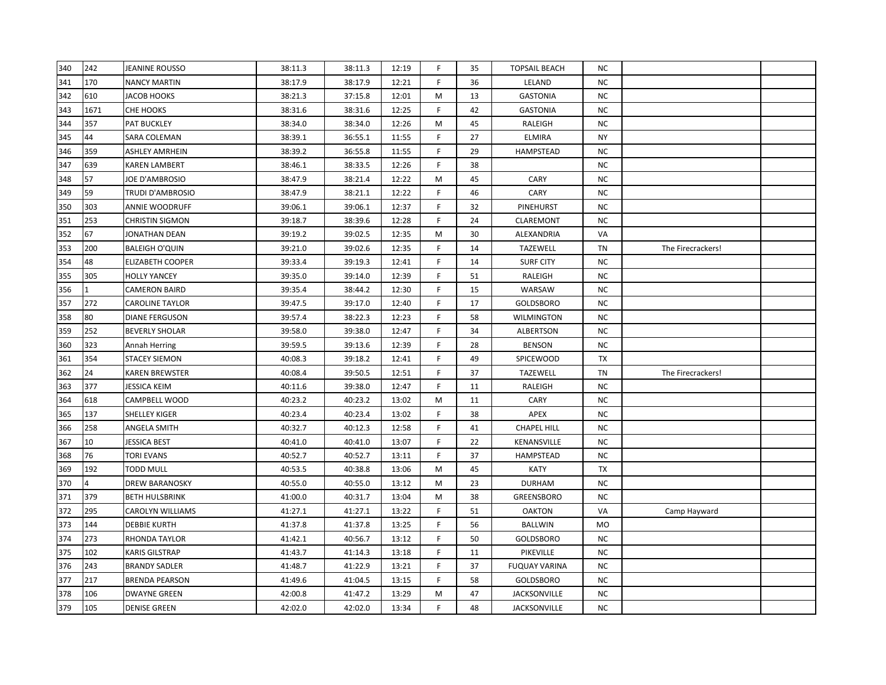| 340 | 242  | JEANINE ROUSSO          | 38:11.3 | 38:11.3 | 12:19 | F.           | 35 | <b>TOPSAIL BEACH</b> | NC.       |                   |  |
|-----|------|-------------------------|---------|---------|-------|--------------|----|----------------------|-----------|-------------------|--|
| 341 | 170  | <b>NANCY MARTIN</b>     | 38:17.9 | 38:17.9 | 12:21 | F            | 36 | LELAND               | <b>NC</b> |                   |  |
| 342 | 610  | JACOB HOOKS             | 38:21.3 | 37:15.8 | 12:01 | M            | 13 | <b>GASTONIA</b>      | NC        |                   |  |
| 343 | 1671 | CHE HOOKS               | 38:31.6 | 38:31.6 | 12:25 | F            | 42 | <b>GASTONIA</b>      | NC        |                   |  |
| 344 | 357  | PAT BUCKLEY             | 38:34.0 | 38:34.0 | 12:26 | M            | 45 | RALEIGH              | <b>NC</b> |                   |  |
| 345 | 44   | SARA COLEMAN            | 38:39.1 | 36:55.1 | 11:55 | $\mathsf{F}$ | 27 | <b>ELMIRA</b>        | <b>NY</b> |                   |  |
| 346 | 359  | ASHLEY AMRHEIN          | 38:39.2 | 36:55.8 | 11:55 | F            | 29 | <b>HAMPSTEAD</b>     | NC.       |                   |  |
| 347 | 639  | KAREN LAMBERT           | 38:46.1 | 38:33.5 | 12:26 | F            | 38 |                      | NC.       |                   |  |
| 348 | 57   | JOE D'AMBROSIO          | 38:47.9 | 38:21.4 | 12:22 | М            | 45 | <b>CARY</b>          | NC.       |                   |  |
| 349 | 59   | TRUDI D'AMBROSIO        | 38:47.9 | 38:21.1 | 12:22 | F.           | 46 | CARY                 | <b>NC</b> |                   |  |
| 350 | 303  | ANNIE WOODRUFF          | 39:06.1 | 39:06.1 | 12:37 | F            | 32 | PINEHURST            | <b>NC</b> |                   |  |
| 351 | 253  | <b>CHRISTIN SIGMON</b>  | 39:18.7 | 38:39.6 | 12:28 | F            | 24 | <b>CLAREMONT</b>     | <b>NC</b> |                   |  |
| 352 | 67   | JONATHAN DEAN           | 39:19.2 | 39:02.5 | 12:35 | M            | 30 | ALEXANDRIA           | VA        |                   |  |
| 353 | 200  | <b>BALEIGH O'QUIN</b>   | 39:21.0 | 39:02.6 | 12:35 | F            | 14 | TAZEWELL             | TN        | The Firecrackers! |  |
| 354 | 48   | <b>ELIZABETH COOPER</b> | 39:33.4 | 39:19.3 | 12:41 | F            | 14 | <b>SURF CITY</b>     | NC.       |                   |  |
| 355 | 305  | <b>HOLLY YANCEY</b>     | 39:35.0 | 39:14.0 | 12:39 | F            | 51 | RALEIGH              | NC.       |                   |  |
| 356 |      | <b>CAMERON BAIRD</b>    | 39:35.4 | 38:44.2 | 12:30 | F.           | 15 | WARSAW               | NC        |                   |  |
| 357 | 272  | <b>CAROLINE TAYLOR</b>  | 39:47.5 | 39:17.0 | 12:40 | F.           | 17 | <b>GOLDSBORO</b>     | NC        |                   |  |
| 358 | 80   | <b>DIANE FERGUSON</b>   | 39:57.4 | 38:22.3 | 12:23 | F.           | 58 | <b>WILMINGTON</b>    | NC        |                   |  |
| 359 | 252  | BEVERLY SHOLAR          | 39:58.0 | 39:38.0 | 12:47 | F            | 34 | <b>ALBERTSON</b>     | NC        |                   |  |
| 360 | 323  | Annah Herring           | 39:59.5 | 39:13.6 | 12:39 | F            | 28 | <b>BENSON</b>        | NC        |                   |  |
| 361 | 354  | <b>STACEY SIEMON</b>    | 40:08.3 | 39:18.2 | 12:41 | F            | 49 | SPICEWOOD            | TX        |                   |  |
| 362 | 24   | KAREN BREWSTER          | 40:08.4 | 39:50.5 | 12:51 | F            | 37 | TAZEWELL             | TN        | The Firecrackers! |  |
| 363 | 377  | JESSICA KEIM            | 40:11.6 | 39:38.0 | 12:47 | F            | 11 | RALEIGH              | NC.       |                   |  |
| 364 | 618  | CAMPBELL WOOD           | 40:23.2 | 40:23.2 | 13:02 | м            | 11 | CARY                 | NC.       |                   |  |
| 365 | 137  | SHELLEY KIGER           | 40:23.4 | 40:23.4 | 13:02 | F            | 38 | APEX                 | NC        |                   |  |
| 366 | 258  | ANGELA SMITH            | 40:32.7 | 40:12.3 | 12:58 | F            | 41 | <b>CHAPEL HILL</b>   | NC.       |                   |  |
| 367 | 10   | JESSICA BEST            | 40:41.0 | 40:41.0 | 13:07 | F.           | 22 | KENANSVILLE          | <b>NC</b> |                   |  |
| 368 | 76   | <b>TORI EVANS</b>       | 40:52.7 | 40:52.7 | 13:11 | F.           | 37 | HAMPSTEAD            | ΝC        |                   |  |
| 369 | 192  | TODD MULL               | 40:53.5 | 40:38.8 | 13:06 | M            | 45 | KATY                 | TX        |                   |  |
| 370 |      | <b>DREW BARANOSKY</b>   | 40:55.0 | 40:55.0 | 13:12 | M            | 23 | <b>DURHAM</b>        | NC.       |                   |  |
| 371 | 379  | <b>BETH HULSBRINK</b>   | 41:00.0 | 40:31.7 | 13:04 | M            | 38 | GREENSBORO           | NC        |                   |  |
| 372 | 295  | CAROLYN WILLIAMS        | 41:27.1 | 41:27.1 | 13:22 | E            | 51 | <b>OAKTON</b>        | VA        | Camp Hayward      |  |
| 373 | 144  | <b>DEBBIE KURTH</b>     | 41:37.8 | 41:37.8 | 13:25 | $\mathsf{F}$ | 56 | <b>BALLWIN</b>       | MO        |                   |  |
| 374 | 273  | RHONDA TAYLOR           | 41:42.1 | 40:56.7 | 13:12 | F            | 50 | GOLDSBORO            | NC.       |                   |  |
| 375 | 102  | <b>KARIS GILSTRAP</b>   | 41:43.7 | 41:14.3 | 13:18 | F            | 11 | PIKEVILLE            | NC        |                   |  |
| 376 | 243  | <b>BRANDY SADLER</b>    | 41:48.7 | 41:22.9 | 13:21 | F            | 37 | <b>FUQUAY VARINA</b> | NC.       |                   |  |
| 377 | 217  | BRENDA PEARSON          | 41:49.6 | 41:04.5 | 13:15 | F            | 58 | GOLDSBORO            | ΝC        |                   |  |
| 378 | 106  | DWAYNE GREEN            | 42:00.8 | 41:47.2 | 13:29 | М            | 47 | JACKSONVILLE         | ΝC        |                   |  |
| 379 | 105  | <b>DENISE GREEN</b>     | 42:02.0 | 42:02.0 | 13:34 | $\mathsf F$  | 48 | <b>JACKSONVILLE</b>  | NC.       |                   |  |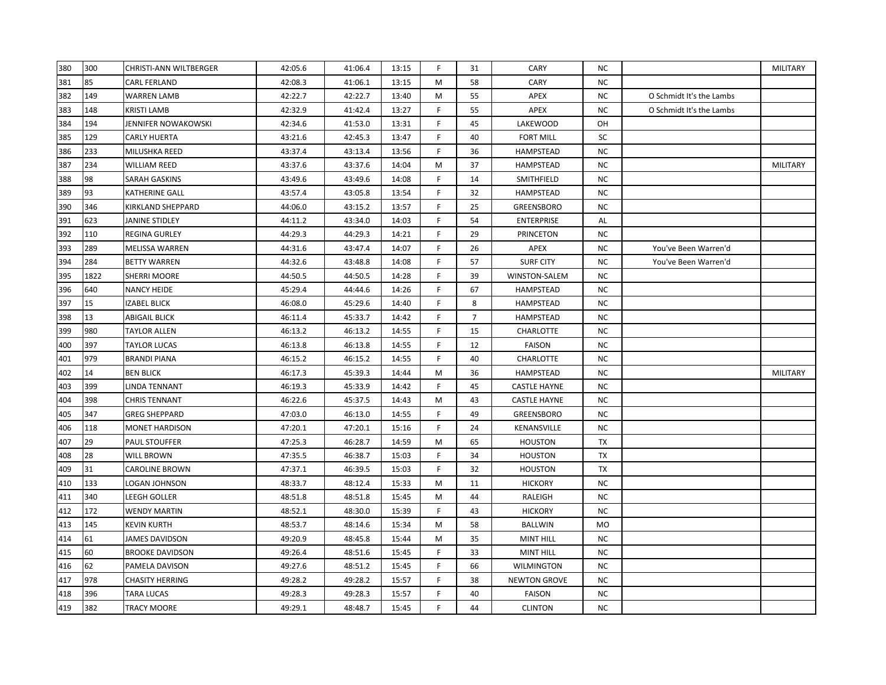| 380 | 300  | <b>CHRISTI-ANN WILTBERGER</b> | 42:05.6 | 41:06.4 | 13:15 | F. | 31             | <b>CARY</b>         | ΝC        |                          | MILITARY |
|-----|------|-------------------------------|---------|---------|-------|----|----------------|---------------------|-----------|--------------------------|----------|
| 381 | 85   | <b>CARL FERLAND</b>           | 42:08.3 | 41:06.1 | 13:15 | M  | 58             | CARY                | <b>NC</b> |                          |          |
| 382 | 149  | <b>WARREN LAMB</b>            | 42:22.7 | 42:22.7 | 13:40 | M  | 55             | APEX                | <b>NC</b> | O Schmidt It's the Lambs |          |
| 383 | 148  | <b>KRISTI LAMB</b>            | 42:32.9 | 41:42.4 | 13:27 | F  | 55             | APEX                | <b>NC</b> | O Schmidt It's the Lambs |          |
| 384 | 194  | JENNIFER NOWAKOWSKI           | 42:34.6 | 41:53.0 | 13:31 | F  | 45             | LAKEWOOD            | OH        |                          |          |
| 385 | 129  | <b>CARLY HUERTA</b>           | 43:21.6 | 42:45.3 | 13:47 | F  | 40             | <b>FORT MILL</b>    | SC        |                          |          |
| 386 | 233  | MILUSHKA REED                 | 43:37.4 | 43:13.4 | 13:56 | F  | 36             | <b>HAMPSTEAD</b>    | NC.       |                          |          |
| 387 | 234  | <b>WILLIAM REED</b>           | 43:37.6 | 43:37.6 | 14:04 | M  | 37             | HAMPSTEAD           | NC.       |                          | MILITARY |
| 388 | 98   | SARAH GASKINS                 | 43:49.6 | 43:49.6 | 14:08 | F. | 14             | SMITHFIELD          | NC.       |                          |          |
| 389 | 93   | KATHERINE GALL                | 43:57.4 | 43:05.8 | 13:54 | F. | 32             | HAMPSTEAD           | NC        |                          |          |
| 390 | 346  | KIRKLAND SHEPPARD             | 44:06.0 | 43:15.2 | 13:57 | F. | 25             | <b>GREENSBORO</b>   | <b>NC</b> |                          |          |
| 391 | 623  | JANINE STIDLEY                | 44:11.2 | 43:34.0 | 14:03 | F  | 54             | <b>ENTERPRISE</b>   | AL        |                          |          |
| 392 | 110  | <b>REGINA GURLEY</b>          | 44:29.3 | 44:29.3 | 14:21 | F. | 29             | <b>PRINCETON</b>    | <b>NC</b> |                          |          |
| 393 | 289  | <b>MELISSA WARREN</b>         | 44:31.6 | 43:47.4 | 14:07 | F  | 26             | APEX                | <b>NC</b> | You've Been Warren'd     |          |
| 394 | 284  | <b>BETTY WARREN</b>           | 44:32.6 | 43:48.8 | 14:08 | F  | 57             | <b>SURF CITY</b>    | <b>NC</b> | You've Been Warren'd     |          |
| 395 | 1822 | SHERRI MOORE                  | 44:50.5 | 44:50.5 | 14:28 | F  | 39             | WINSTON-SALEM       | ΝC        |                          |          |
| 396 | 640  | <b>NANCY HEIDE</b>            | 45:29.4 | 44:44.6 | 14:26 | F  | 67             | HAMPSTEAD           | NC.       |                          |          |
| 397 | 15   | <b>IZABEL BLICK</b>           | 46:08.0 | 45:29.6 | 14:40 | F  | 8              | <b>HAMPSTEAD</b>    | <b>NC</b> |                          |          |
| 398 | 13   | <b>ABIGAIL BLICK</b>          | 46:11.4 | 45:33.7 | 14:42 | F  | $\overline{7}$ | HAMPSTEAD           | NC.       |                          |          |
| 399 | 980  | <b>TAYLOR ALLEN</b>           | 46:13.2 | 46:13.2 | 14:55 | F. | 15             | CHARLOTTE           | NC.       |                          |          |
| 400 | 397  | <b>TAYLOR LUCAS</b>           | 46:13.8 | 46:13.8 | 14:55 | F. | 12             | FAISON              | NC.       |                          |          |
| 401 | 979  | <b>BRANDI PIANA</b>           | 46:15.2 | 46:15.2 | 14:55 | F  | 40             | CHARLOTTE           | NC.       |                          |          |
| 402 | 14   | <b>BEN BLICK</b>              | 46:17.3 | 45:39.3 | 14:44 | M  | 36             | HAMPSTEAD           | NC.       |                          | MILITARY |
| 403 | 399  | LINDA TENNANT                 | 46:19.3 | 45:33.9 | 14:42 | F  | 45             | <b>CASTLE HAYNE</b> | <b>NC</b> |                          |          |
| 404 | 398  | <b>CHRIS TENNANT</b>          | 46:22.6 | 45:37.5 | 14:43 | М  | 43             | <b>CASTLE HAYNE</b> | <b>NC</b> |                          |          |
| 405 | 347  | <b>GREG SHEPPARD</b>          | 47:03.0 | 46:13.0 | 14:55 | F  | 49             | GREENSBORO          | NC.       |                          |          |
| 406 | 118  | MONET HARDISON                | 47:20.1 | 47:20.1 | 15:16 | F  | 24             | KENANSVILLE         | NC.       |                          |          |
| 407 | 29   | <b>PAUL STOUFFER</b>          | 47:25.3 | 46:28.7 | 14:59 | M  | 65             | <b>HOUSTON</b>      | TX        |                          |          |
| 408 | 28   | <b>WILL BROWN</b>             | 47:35.5 | 46:38.7 | 15:03 | F  | 34             | <b>HOUSTON</b>      | TX        |                          |          |
| 409 | 31   | CAROLINE BROWN                | 47:37.1 | 46:39.5 | 15:03 | F. | 32             | <b>HOUSTON</b>      | TX        |                          |          |
| 410 | 133  | LOGAN JOHNSON                 | 48:33.7 | 48:12.4 | 15:33 | M  | 11             | <b>HICKORY</b>      | NC.       |                          |          |
| 411 | 340  | LEEGH GOLLER                  | 48:51.8 | 48:51.8 | 15:45 | M  | 44             | RALEIGH             | <b>NC</b> |                          |          |
| 412 | 172  | <b>WENDY MARTIN</b>           | 48:52.1 | 48:30.0 | 15:39 | F  | 43             | <b>HICKORY</b>      | <b>NC</b> |                          |          |
| 413 | 145  | <b>KEVIN KURTH</b>            | 48:53.7 | 48:14.6 | 15:34 | M  | 58             | BALLWIN             | MO        |                          |          |
| 414 | 61   | <b>JAMES DAVIDSON</b>         | 49:20.9 | 48:45.8 | 15:44 | M  | 35             | <b>MINT HILL</b>    | NC.       |                          |          |
| 415 | 60   | <b>BROOKE DAVIDSON</b>        | 49:26.4 | 48:51.6 | 15:45 | F. | 33             | <b>MINT HILL</b>    | NC.       |                          |          |
| 416 | 62   | PAMELA DAVISON                | 49:27.6 | 48:51.2 | 15:45 | F. | 66             | <b>WILMINGTON</b>   | NC.       |                          |          |
| 417 | 978  | <b>CHASITY HERRING</b>        | 49:28.2 | 49:28.2 | 15:57 | F. | 38             | <b>NEWTON GROVE</b> | NC.       |                          |          |
| 418 | 396  | TARA LUCAS                    | 49:28.3 | 49:28.3 | 15:57 | F. | 40             | <b>FAISON</b>       | <b>NC</b> |                          |          |
| 419 | 382  | <b>TRACY MOORE</b>            | 49:29.1 | 48:48.7 | 15:45 | F. | 44             | <b>CLINTON</b>      | <b>NC</b> |                          |          |